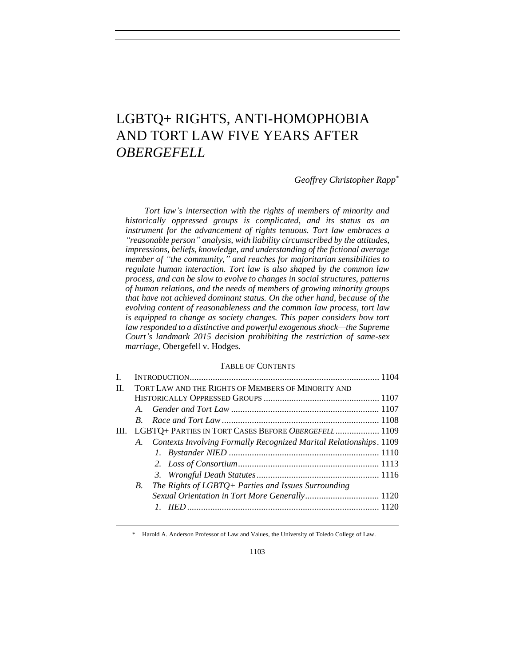# LGBTQ+ RIGHTS, ANTI-HOMOPHOBIA AND TORT LAW FIVE YEARS AFTER *OBERGEFELL*

*Geoffrey Christopher Rapp\**

*Tort law's intersection with the rights of members of minority and historically oppressed groups is complicated, and its status as an instrument for the advancement of rights tenuous. Tort law embraces a "reasonable person" analysis, with liability circumscribed by the attitudes, impressions, beliefs, knowledge, and understanding of the fictional average member of "the community," and reaches for majoritarian sensibilities to regulate human interaction. Tort law is also shaped by the common law process, and can be slow to evolve to changes in social structures, patterns of human relations, and the needs of members of growing minority groups that have not achieved dominant status. On the other hand, because of the evolving content of reasonableness and the common law process, tort law is equipped to change as society changes. This paper considers how tort law responded to a distinctive and powerful exogenous shock—the Supreme Court's landmark 2015 decision prohibiting the restriction of same-sex marriage,* Obergefell v. Hodges*.*

## TABLE OF CONTENTS

| L       |             |                                                                    |  |
|---------|-------------|--------------------------------------------------------------------|--|
| $\Pi$ . |             | TORT LAW AND THE RIGHTS OF MEMBERS OF MINORITY AND                 |  |
|         |             |                                                                    |  |
|         |             |                                                                    |  |
|         | $B_{\cdot}$ |                                                                    |  |
| III.    |             | LGBTQ+ PARTIES IN TORT CASES BEFORE OBERGEFELL 1109                |  |
|         | A.          | Contexts Involving Formally Recognized Marital Relationships. 1109 |  |
|         |             |                                                                    |  |
|         |             |                                                                    |  |
|         |             |                                                                    |  |
|         | B.          | The Rights of LGBTQ+ Parties and Issues Surrounding                |  |
|         |             | Sexual Orientation in Tort More Generally 1120                     |  |
|         |             |                                                                    |  |
|         |             |                                                                    |  |

\* Harold A. Anderson Professor of Law and Values, the University of Toledo College of Law.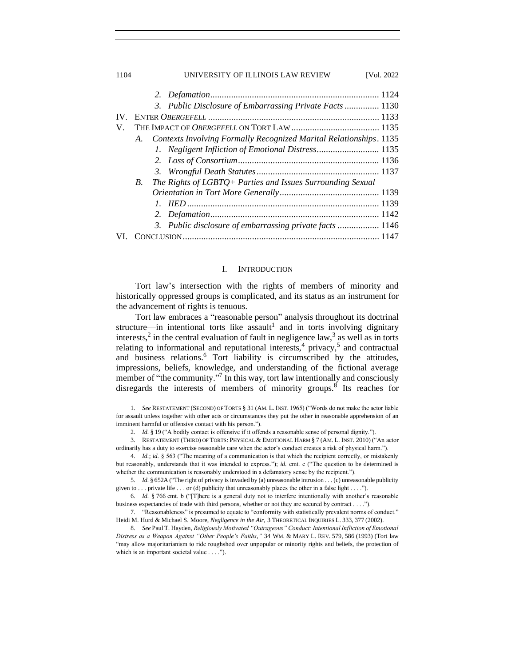| 1104     | UNIVERSITY OF ILLINOIS LAW REVIEW                                        | [Vol. 2022 |
|----------|--------------------------------------------------------------------------|------------|
|          |                                                                          |            |
|          | 3. Public Disclosure of Embarrassing Private Facts 1130                  |            |
| $IV_{-}$ |                                                                          |            |
| V.       |                                                                          |            |
|          | Contexts Involving Formally Recognized Marital Relationships. 1135<br>A. |            |
|          |                                                                          |            |
|          |                                                                          |            |
|          |                                                                          |            |
|          | The Rights of LGBTQ+ Parties and Issues Surrounding Sexual<br>B.         |            |
|          |                                                                          |            |
|          |                                                                          |            |
|          | 2.                                                                       |            |
|          | 3. Public disclosure of embarrassing private facts 1146                  |            |
|          |                                                                          |            |

## I. INTRODUCTION

<span id="page-1-0"></span>Tort law's intersection with the rights of members of minority and historically oppressed groups is complicated, and its status as an instrument for the advancement of rights is tenuous.

Tort law embraces a "reasonable person" analysis throughout its doctrinal structure—in intentional torts like assault<sup>1</sup> and in torts involving dignitary interests,<sup>2</sup> in the central evaluation of fault in negligence law,<sup>3</sup> as well as in torts relating to informational and reputational interests,<sup>4</sup> privacy,<sup>5</sup> and contractual and business relations.<sup>6</sup> Tort liability is circumscribed by the attitudes, impressions, beliefs, knowledge, and understanding of the fictional average member of "the community."<sup>7</sup> In this way, tort law intentionally and consciously disregards the interests of members of minority groups.<sup>8</sup> Its reaches for

<sup>1.</sup> *See* RESTATEMENT (SECOND) OF TORTS § 31 (AM. L. INST. 1965) ("Words do not make the actor liable for assault unless together with other acts or circumstances they put the other in reasonable apprehension of an imminent harmful or offensive contact with his person.").

<sup>2.</sup> *Id.* § 19 ("A bodily contact is offensive if it offends a reasonable sense of personal dignity.").

<sup>3.</sup> RESTATEMENT (THIRD) OF TORTS: PHYSICAL & EMOTIONAL HARM § 7 (AM. L. INST. 2010) ("An actor ordinarily has a duty to exercise reasonable care when the actor's conduct creates a risk of physical harm.").

<sup>4.</sup> *Id.*; *id.* § 563 ("The meaning of a communication is that which the recipient correctly, or mistakenly but reasonably, understands that it was intended to express."); *id.* cmt. c ("The question to be determined is whether the communication is reasonably understood in a defamatory sense by the recipient.").

<sup>5</sup>*. Id.* § 652A ("The right of privacy is invaded by (a) unreasonable intrusion . . . (c) unreasonable publicity given to . . . private life . . . or (d) publicity that unreasonably places the other in a false light . . . .").

<sup>6</sup>*. Id.* § 766 cmt. b ("[T]here is a general duty not to interfere intentionally with another's reasonable business expectancies of trade with third persons, whether or not they are secured by contract . . . .").

<sup>7.</sup> "Reasonableness" is presumed to equate to "conformity with statistically prevalent norms of conduct." Heidi M. Hurd & Michael S. Moore, *Negligence in the Air*, 3 THEORETICAL INQUIRIES L. 333, 377 (2002).

<sup>8.</sup> *See* Paul T. Hayden, *Religiously Motivated "Outrageous" Conduct: Intentional Infliction of Emotional Distress as a Weapon Against "Other People's Faiths*,*"* 34 WM. & MARY L. REV. 579, 586 (1993) (Tort law "may allow majoritarianism to ride roughshod over unpopular or minority rights and beliefs, the protection of which is an important societal value . . . .").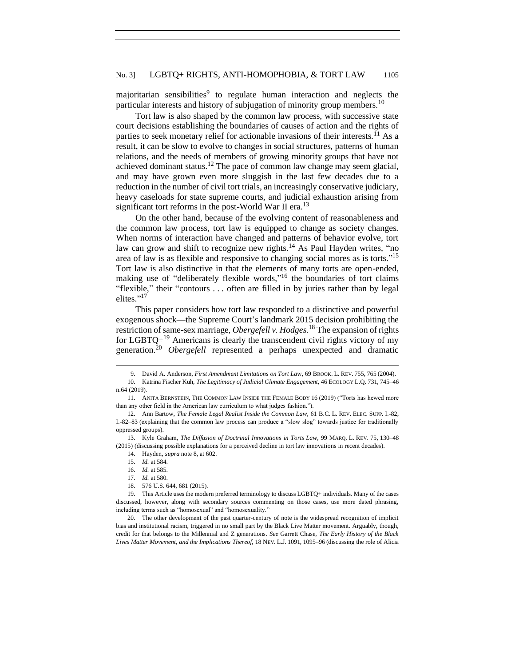majoritarian sensibilities<sup>9</sup> to regulate human interaction and neglects the particular interests and history of subjugation of minority group members.<sup>10</sup>

Tort law is also shaped by the common law process, with successive state court decisions establishing the boundaries of causes of action and the rights of parties to seek monetary relief for actionable invasions of their interests.<sup>11</sup> As a result, it can be slow to evolve to changes in social structures, patterns of human relations, and the needs of members of growing minority groups that have not achieved dominant status.<sup>12</sup> The pace of common law change may seem glacial, and may have grown even more sluggish in the last few decades due to a reduction in the number of civil tort trials, an increasingly conservative judiciary, heavy caseloads for state supreme courts, and judicial exhaustion arising from significant tort reforms in the post-World War II era.<sup>13</sup>

On the other hand, because of the evolving content of reasonableness and the common law process, tort law is equipped to change as society changes. When norms of interaction have changed and patterns of behavior evolve, tort law can grow and shift to recognize new rights.<sup>14</sup> As Paul Hayden writes, "no area of law is as flexible and responsive to changing social mores as is torts." 15 Tort law is also distinctive in that the elements of many torts are open-ended, making use of "deliberately flexible words," <sup>16</sup> the boundaries of tort claims "flexible," their "contours . . . often are filled in by juries rather than by legal elites."<sup>17</sup>

This paper considers how tort law responded to a distinctive and powerful exogenous shock—the Supreme Court's landmark 2015 decision prohibiting the restriction of same-sex marriage, *Obergefell v. Hodges*. <sup>18</sup> The expansion of rights for  $LGBTQ+^{19}$  Americans is clearly the transcendent civil rights victory of my generation.<sup>20</sup> *Obergefell* represented a perhaps unexpected and dramatic

<sup>9.</sup> David A. Anderson, *First Amendment Limitations on Tort La*w, 69 BROOK. L. REV. 755, 765 (2004).

<sup>10.</sup> Katrina Fischer Kuh, *The Legitimacy of Judicial Climate Engagement,* 46 ECOLOGY L.Q. 731, 745–46 n.64 (2019).

<sup>11.</sup> ANITA BERNSTEIN, THE COMMON LAW INSIDE THE FEMALE BODY 16 (2019) ("Torts has hewed more than any other field in the American law curriculum to what judges fashion.").

<sup>12.</sup> Ann Bartow, *The Female Legal Realist Inside the Common Law*, 61 B.C. L. REV. ELEC. SUPP. I.-82, I.-82–83 (explaining that the common law process can produce a "slow slog" towards justice for traditionally oppressed groups).

<sup>13.</sup> Kyle Graham, *The Diffusion of Doctrinal Innovations in Torts Law*, 99 MARQ. L. REV. 75, 130–48 (2015) (discussing possible explanations for a perceived decline in tort law innovations in recent decades).

<sup>14.</sup> Hayden, *supra* note 8, at 602.

<sup>15.</sup> *Id.* at 584.

<sup>16</sup>*. Id.* at 585. 17*. Id.* at 580.

<sup>18.</sup> 576 U.S. 644, 681 (2015).

<sup>19.</sup> This Article uses the modern preferred terminology to discuss LGBTQ+ individuals. Many of the cases discussed, however, along with secondary sources commenting on those cases, use more dated phrasing, including terms such as "homosexual" and "homosexuality."

<sup>20.</sup> The other development of the past quarter-century of note is the widespread recognition of implicit bias and institutional racism, triggered in no small part by the Black Live Matter movement. Arguably, though, credit for that belongs to the Millennial and Z generations. *See* Garrett Chase, *The Early History of the Black Lives Matter Movement, and the Implications Thereof*, 18 NEV. L.J. 1091, 1095–96 (discussing the role of Alicia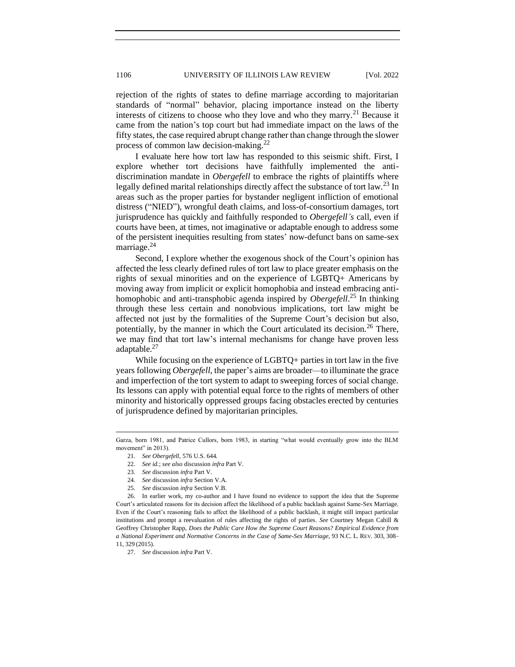rejection of the rights of states to define marriage according to majoritarian standards of "normal" behavior, placing importance instead on the liberty interests of citizens to choose who they love and who they marry.<sup>21</sup> Because it came from the nation's top court but had immediate impact on the laws of the fifty states, the case required abrupt change rather than change through the slower process of common law decision-making.<sup>22</sup>

I evaluate here how tort law has responded to this seismic shift. First, I explore whether tort decisions have faithfully implemented the antidiscrimination mandate in *Obergefell* to embrace the rights of plaintiffs where legally defined marital relationships directly affect the substance of tort law.<sup>23</sup> In areas such as the proper parties for bystander negligent infliction of emotional distress ("NIED"), wrongful death claims, and loss-of-consortium damages, tort jurisprudence has quickly and faithfully responded to *Obergefell's* call, even if courts have been, at times, not imaginative or adaptable enough to address some of the persistent inequities resulting from states' now-defunct bans on same-sex marriage.<sup>24</sup>

Second, I explore whether the exogenous shock of the Court's opinion has affected the less clearly defined rules of tort law to place greater emphasis on the rights of sexual minorities and on the experience of LGBTQ+ Americans by moving away from implicit or explicit homophobia and instead embracing antihomophobic and anti-transphobic agenda inspired by *Obergefell*. <sup>25</sup> In thinking through these less certain and nonobvious implications, tort law might be affected not just by the formalities of the Supreme Court's decision but also, potentially, by the manner in which the Court articulated its decision.<sup>26</sup> There, we may find that tort law's internal mechanisms for change have proven less adaptable.<sup>27</sup>

While focusing on the experience of LGBTQ+ parties in tort law in the five years following *Obergefell*, the paper's aims are broader—to illuminate the grace and imperfection of the tort system to adapt to sweeping forces of social change. Its lessons can apply with potential equal force to the rights of members of other minority and historically oppressed groups facing obstacles erected by centuries of jurisprudence defined by majoritarian principles.

- 23. *See* discussion *infra* Part V.
- 24. *See* discussion *infra* Section V.A.
- 25. *See* discussion *infra* Section V.B.

26. In earlier work, my co-author and I have found no evidence to support the idea that the Supreme Court's articulated reasons for its decision affect the likelihood of a public backlash against Same-Sex Marriage. Even if the Court's reasoning fails to affect the likelihood of a public backlash, it might still impact particular institutions and prompt a reevaluation of rules affecting the rights of parties. *See* Courtney Megan Cahill & Geoffrey Christopher Rapp, *Does the Public Care How the Supreme Court Reasons? Empirical Evidence from a National Experiment and Normative Concerns in the Case of Same-Sex Marriage*, 93 N.C. L. REV. 303, 308– 11, 329 (2015).

Garza, born 1981, and Patrice Cullors, born 1983, in starting "what would eventually grow into the BLM movement" in 2013).

<sup>21.</sup> *See Obergefell*, 576 U.S. 644.

<sup>22.</sup> *See id.*; *see also* discussion *infra* Part V.

<sup>27.</sup> *See* discussion *infra* Part V.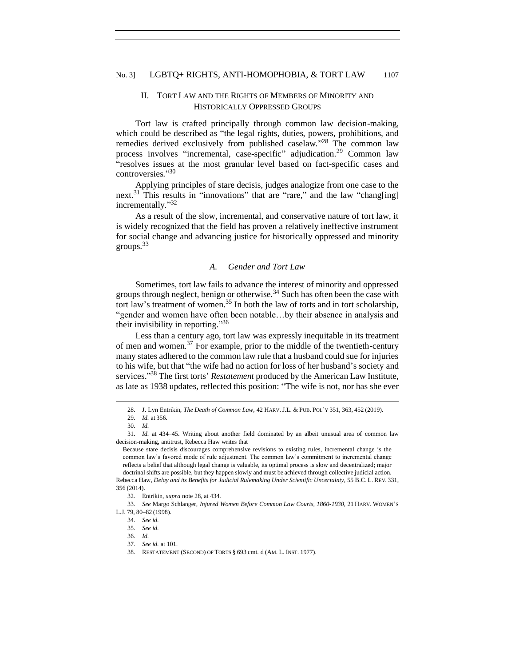# <span id="page-4-0"></span>II. TORT LAW AND THE RIGHTS OF MEMBERS OF MINORITY AND HISTORICALLY OPPRESSED GROUPS

Tort law is crafted principally through common law decision-making, which could be described as "the legal rights, duties, powers, prohibitions, and remedies derived exclusively from published caselaw."<sup>28</sup> The common law process involves "incremental, case-specific" adjudication.<sup>29</sup> Common law "resolves issues at the most granular level based on fact-specific cases and controversies." 30

Applying principles of stare decisis, judges analogize from one case to the next.<sup>31</sup> This results in "innovations" that are "rare," and the law "chang[ing] incrementally."<sup>32</sup>

As a result of the slow, incremental, and conservative nature of tort law, it is widely recognized that the field has proven a relatively ineffective instrument for social change and advancing justice for historically oppressed and minority groups. $33$ 

#### *A. Gender and Tort Law*

<span id="page-4-1"></span>Sometimes, tort law fails to advance the interest of minority and oppressed groups through neglect, benign or otherwise.<sup>34</sup> Such has often been the case with tort law's treatment of women.<sup>35</sup> In both the law of torts and in tort scholarship, "gender and women have often been notable…by their absence in analysis and their invisibility in reporting."36

Less than a century ago, tort law was expressly inequitable in its treatment of men and women.<sup>37</sup> For example, prior to the middle of the twentieth-century many states adhered to the common law rule that a husband could sue for injuries to his wife, but that "the wife had no action for loss of her husband's society and services." <sup>38</sup> The first torts' *Restatement* produced by the American Law Institute, as late as 1938 updates, reflected this position: "The wife is not, nor has she ever

356 (2014).

<sup>28.</sup> J. Lyn Entrikin, *The Death of Common Law*, 42 HARV. J.L. & PUB. POL'Y 351, 363, 452 (2019).

<sup>29</sup>*. Id.* at 356.

<sup>30</sup>*. Id.*

<sup>31</sup>*. Id.* at 434–45. Writing about another field dominated by an albeit unusual area of common law decision-making, antitrust, Rebecca Haw writes that

Because stare decisis discourages comprehensive revisions to existing rules, incremental change is the common law's favored mode of rule adjustment. The common law's commitment to incremental change reflects a belief that although legal change is valuable, its optimal process is slow and decentralized; major doctrinal shifts are possible, but they happen slowly and must be achieved through collective judicial action. Rebecca Haw, *Delay and its Benefits for Judicial Rulemaking Under Scientific Uncertainty*, 55 B.C. L. REV. 331,

<sup>32.</sup> Entrikin, *supra* note 28, at 434.

<sup>33.</sup> *See* Margo Schlanger, *Injured Women Before Common Law Courts, 1860-1930*, 21 HARV. WOMEN'S L.J. 79, 80–82 (1998).

<sup>34.</sup> *See id.*

<sup>35.</sup> *See id.*

<sup>36.</sup> *Id.*

<sup>37.</sup> *See id.* at 101.

<sup>38.</sup> RESTATEMENT (SECOND) OF TORTS § 693 cmt. d (AM. L. INST. 1977).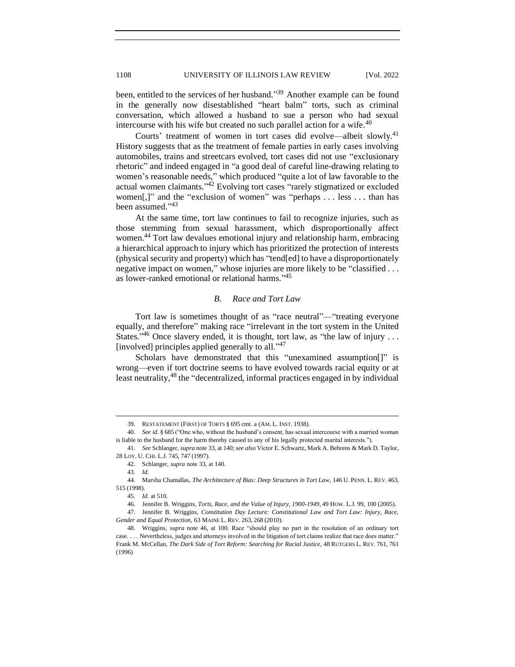been, entitled to the services of her husband."<sup>39</sup> Another example can be found in the generally now disestablished "heart balm" torts, such as criminal conversation, which allowed a husband to sue a person who had sexual intercourse with his wife but created no such parallel action for a wife.<sup>40</sup>

Courts' treatment of women in tort cases did evolve—albeit slowly.<sup>41</sup> History suggests that as the treatment of female parties in early cases involving automobiles, trains and streetcars evolved, tort cases did not use "exclusionary rhetoric" and indeed engaged in "a good deal of careful line-drawing relating to women's reasonable needs," which produced "quite a lot of law favorable to the actual women claimants."<sup>42</sup> Evolving tort cases "rarely stigmatized or excluded women[,]" and the "exclusion of women" was "perhaps . . . less . . . than has been assumed."<sup>43</sup>

At the same time, tort law continues to fail to recognize injuries, such as those stemming from sexual harassment, which disproportionally affect women.<sup>44</sup> Tort law devalues emotional injury and relationship harm, embracing a hierarchical approach to injury which has prioritized the protection of interests (physical security and property) which has "tend[ed] to have a disproportionately negative impact on women," whose injuries are more likely to be "classified . . . as lower-ranked emotional or relational harms." 45

## *B. Race and Tort Law*

<span id="page-5-0"></span>Tort law is sometimes thought of as "race neutral"—"treating everyone equally, and therefore" making race "irrelevant in the tort system in the United States."<sup>46</sup> Once slavery ended, it is thought, tort law, as "the law of injury ... [involved] principles applied generally to all."<sup>47</sup>

Scholars have demonstrated that this "unexamined assumption<sup>[]"</sup> is wrong—even if tort doctrine seems to have evolved towards racial equity or at least neutrality,<sup>48</sup> the "decentralized, informal practices engaged in by individual

<sup>39.</sup> RESTATEMENT (FIRST) OF TORTS § 695 cmt. a (AM. L. INST. 1938).

<sup>40.</sup> *See id.* § 685 ("One who, without the husband's consent, has sexual intercourse with a married woman is liable to the husband for the harm thereby caused to any of his legally protected marital interests.").

<sup>41.</sup> *See* Schlanger, *supra* note 33, at 140; *see also* Victor E. Schwartz, Mark A. Behrens & Mark D. Taylor, 28 LOY. U. CHI. L.J. 745, 747 (1997).

<sup>42.</sup> Schlanger, *supra* note 33, at 140.

<sup>43</sup>*. Id.*

<sup>44.</sup> Marsha Chamallas, *The Architecture of Bias: Deep Structures in Tort Law*, 146 U. PENN. L. REV. 463, 515 (1998).

<sup>45</sup>*. Id.* at 510.

<sup>46.</sup> Jennifer B. Wriggins, *Torts, Race, and the Value of Injury, 1900-1949*, 49 HOW. L.J. 99, 100 (2005).

<sup>47.</sup> Jennifer B. Wriggins, *Constitution Day Lecture: Constitutional Law and Tort Law: Injury, Race, Gender and Equal Protection*, 63 MAINE L. REV. 263, 268 (2010).

<sup>48.</sup> Wriggins, *supra* note 46, at 100. Race "should play no part in the resolution of an ordinary tort case. . . . Nevertheless, judges and attorneys involved in the litigation of tort claims realize that race does matter." Frank M. McCellan, *The Dark Side of Tort Reform: Searching for Racial Justice*, 48 RUTGERS L. REV. 761, 761 (1996)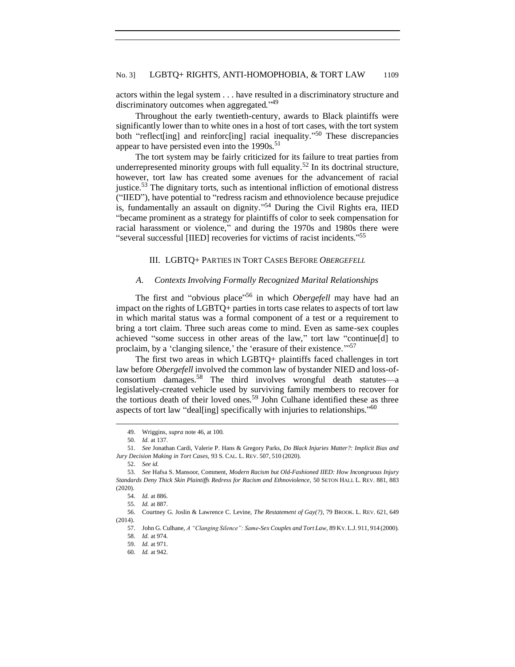actors within the legal system . . . have resulted in a discriminatory structure and discriminatory outcomes when aggregated."<sup>49</sup>

Throughout the early twentieth-century, awards to Black plaintiffs were significantly lower than to white ones in a host of tort cases, with the tort system both "reflect[ing] and reinforc[ing] racial inequality."<sup>50</sup> These discrepancies appear to have persisted even into the  $1990s$ <sup>51</sup>

The tort system may be fairly criticized for its failure to treat parties from underrepresented minority groups with full equality.<sup>52</sup> In its doctrinal structure, however, tort law has created some avenues for the advancement of racial justice.<sup>53</sup> The dignitary torts, such as intentional infliction of emotional distress ("IIED"), have potential to "redress racism and ethnoviolence because prejudice is, fundamentally an assault on dignity." <sup>54</sup> During the Civil Rights era, IIED "became prominent as a strategy for plaintiffs of color to seek compensation for racial harassment or violence," and during the 1970s and 1980s there were "several successful [IIED] recoveries for victims of racist incidents." 55

## <span id="page-6-0"></span>III. LGBTQ+ PARTIES IN TORT CASES BEFORE *OBERGEFELL*

#### *A. Contexts Involving Formally Recognized Marital Relationships*

<span id="page-6-1"></span>The first and "obvious place" <sup>56</sup> in which *Obergefell* may have had an impact on the rights of LGBTQ+ parties in torts case relates to aspects of tort law in which marital status was a formal component of a test or a requirement to bring a tort claim. Three such areas come to mind. Even as same-sex couples achieved "some success in other areas of the law," tort law "continue[d] to proclaim, by a 'clanging silence,' the 'erasure of their existence."<sup>57</sup>

The first two areas in which LGBTQ+ plaintiffs faced challenges in tort law before *Obergefell* involved the common law of bystander NIED and loss-ofconsortium damages.<sup>58</sup> The third involves wrongful death statutes—a legislatively-created vehicle used by surviving family members to recover for the tortious death of their loved ones.<sup>59</sup> John Culhane identified these as three aspects of tort law "deal[ing] specifically with injuries to relationships."<sup>60</sup>

52. *See id.*

<sup>49.</sup> Wriggins, *supra* note 46, at 100.

<sup>50</sup>*. Id.* at 137.

<sup>51.</sup> *See* Jonathan Cardi, Valerie P. Hans & Gregory Parks, *Do Black Injuries Matter?: Implicit Bias and Jury Decision Making in Tort Cases*, 93 S. CAL. L. REV. 507, 510 (2020).

<sup>53.</sup> *See* Hafsa S. Mansoor, Comment, *Modern Racism but Old-Fashioned IIED: How Incongruous Injury Standards Deny Thick Skin Plaintiffs Redress for Racism and Ethnoviolence*, 50 SETON HALL L. REV. 881, 883 (2020).

<sup>54.</sup> *Id.* at 886.

<sup>55</sup>*. Id.* at 887.

<sup>56.</sup> Courtney G. Joslin & Lawrence C. Levine, *The Restatement of Gay(?)*, 79 BROOK. L. REV. 621, 649 (2014).

<sup>57.</sup> John G. Culhane, *A "Clanging Silence": Same-Sex Couples and Tort Law*, 89 KY. L.J. 911, 914 (2000). 58. *Id.* at 974.

<sup>59.</sup> *Id.* at 971.

<sup>60</sup>*. Id.* at 942.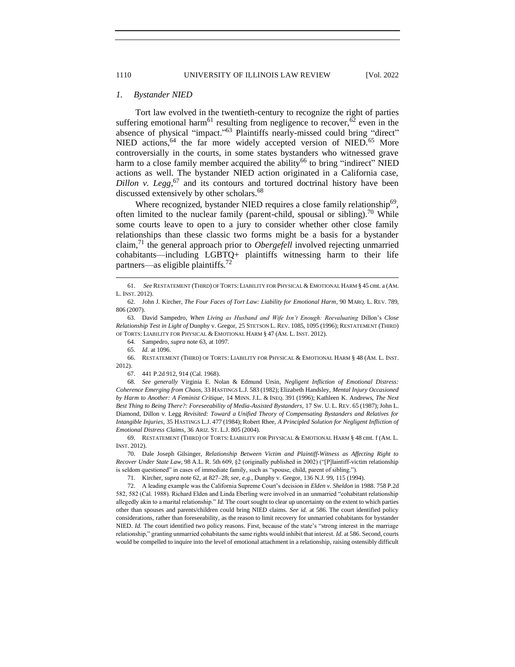#### <span id="page-7-0"></span>*1. Bystander NIED*

Tort law evolved in the twentieth-century to recognize the right of parties suffering emotional harm<sup>61</sup> resulting from negligence to recover,<sup>62</sup> even in the absence of physical "impact."<sup>63</sup> Plaintiffs nearly-missed could bring "direct" NIED actions,<sup>64</sup> the far more widely accepted version of NIED.<sup>65</sup> More controversially in the courts, in some states bystanders who witnessed grave harm to a close family member acquired the ability<sup>66</sup> to bring "indirect" NIED actions as well. The bystander NIED action originated in a California case, *Dillon v. Legg*<sup> $67$ </sup> and its contours and tortured doctrinal history have been discussed extensively by other scholars.<sup>68</sup>

Where recognized, bystander NIED requires a close family relationship<sup>69</sup>, often limited to the nuclear family (parent-child, spousal or sibling).<sup>70</sup> While some courts leave to open to a jury to consider whether other close family relationships than these classic two forms might be a basis for a bystander claim,<sup>71</sup> the general approach prior to *Obergefell* involved rejecting unmarried cohabitants—including LGBTQ+ plaintiffs witnessing harm to their life partners—as eligible plaintiffs.<sup>72</sup>

65. *Id.* at 1096.

66. RESTATEMENT (THIRD) OF TORTS: LIABILITY FOR PHYSICAL & EMOTIONAL HARM § 48 (AM. L. INST. 2012).

67. 441 P.2d 912, 914 (Cal. 1968).

68*. See generally* Virginia E. Nolan & Edmund Ursin, *Negligent Infliction of Emotional Distress: Coherence Emerging from Chaos*, 33 HASTINGS L.J. 583 (1982); Elizabeth Handsley, *Mental Injury Occasioned by Harm to Another: A Feminist Critique*, 14 MINN. J.L. & INEQ. 391 (1996); Kathleen K. Andrews, *The Next*  Best Thing to Being There?: Foreseeability of Media-Assisted Bystanders, 17 Sw. U. L. REV. 65 (1987); John L. Diamond, Dillon v. Legg *Revisited: Toward a Unified Theory of Compensating Bystanders and Relatives for Intangible Injuries*, 35 HASTINGS L.J. 477 (1984); Robert Rhee, *A Principled Solution for Negligent Infliction of Emotional Distress Claims*, 36 ARIZ. ST. L.J. 805 (2004).

69. RESTATEMENT (THIRD) OF TORTS: LIABILITY FOR PHYSICAL & EMOTIONAL HARM § 48 cmt. f (AM. L. INST. 2012).

70. Dale Joseph Gilsinger, *Relationship Between Victim and Plaintiff-Witness as Affecting Right to Recover Under State Law*, 98 A.L. R. 5th 609, §2 (originally published in 2002) ("[P]laintiff-victim relationship is seldom questioned" in cases of immediate family, such as "spouse, child, parent of sibling.").

71. Kircher, *supra* note 62, at 827–28; *see, e.g.*, Dunphy v. Gregor, 136 N.J. 99, 115 (1994).

72. A leading example was the California Supreme Court's decision in *Elden v. Sheldon* in 1988. 758 P.2d 582, 582 (Cal. 1988). Richard Elden and Linda Eberling were involved in an unmarried "cohabitant relationship allegedly akin to a marital relationship." *Id.* The court sought to clear up uncertainty on the extent to which parties other than spouses and parents/children could bring NIED claims. *See id.* at 586. The court identified policy considerations, rather than foreseeability, as the reason to limit recovery for unmarried cohabitants for bystander NIED. *Id.* The court identified two policy reasons. First, because of the state's "strong interest in the marriage relationship," granting unmarried cohabitants the same rights would inhibit that interest. *Id.* at 586. Second, courts would be compelled to inquire into the level of emotional attachment in a relationship, raising ostensibly difficult

<sup>61.</sup> *See* RESTATEMENT (THIRD) OF TORTS: LIABILITY FOR PHYSICAL &EMOTIONAL HARM § 45 cmt. a (AM. L. INST. 2012).

<sup>62.</sup> John J. Kircher, *The Four Faces of Tort Law: Liability for Emotional Harm*, 90 MARQ. L. REV. 789, 806 (2007).

<sup>63.</sup> David Sampedro, *When Living as Husband and Wife Isn't Enough: Reevaluating* Dillon's *Close Relationship Test in Light of* Dunphy v. Gregor, 25 STETSON L. REV. 1085, 1095 (1996); RESTATEMENT (THIRD) OF TORTS: LIABILITY FOR PHYSICAL & EMOTIONAL HARM § 47 (AM. L. INST. 2012).

<sup>64</sup>*.* Sampedro, *supra* note 63, at 1097.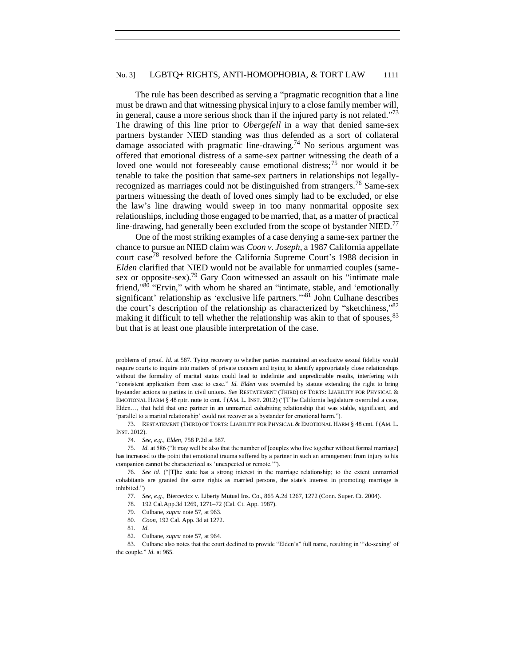### No. 3] LGBTQ+ RIGHTS, ANTI-HOMOPHOBIA, & TORT LAW 1111

The rule has been described as serving a "pragmatic recognition that a line must be drawn and that witnessing physical injury to a close family member will, in general, cause a more serious shock than if the injured party is not related."<sup>73</sup> The drawing of this line prior to *Obergefell* in a way that denied same-sex partners bystander NIED standing was thus defended as a sort of collateral damage associated with pragmatic line-drawing.<sup>74</sup> No serious argument was offered that emotional distress of a same-sex partner witnessing the death of a loved one would not foreseeably cause emotional distress;  $75$  nor would it be tenable to take the position that same-sex partners in relationships not legallyrecognized as marriages could not be distinguished from strangers.<sup>76</sup> Same-sex partners witnessing the death of loved ones simply had to be excluded, or else the law's line drawing would sweep in too many nonmarital opposite sex relationships, including those engaged to be married, that, as a matter of practical line-drawing, had generally been excluded from the scope of bystander NIED.<sup>77</sup>

One of the most striking examples of a case denying a same-sex partner the chance to pursue an NIED claim was *Coon v. Joseph*, a 1987 California appellate court case<sup>78</sup> resolved before the California Supreme Court's 1988 decision in *Elden* clarified that NIED would not be available for unmarried couples (samesex or opposite-sex).<sup>79</sup> Gary Coon witnessed an assault on his "intimate male friend,"<sup>80</sup> "Ervin," with whom he shared an "intimate, stable, and 'emotionally significant' relationship as 'exclusive life partners."<sup>81</sup> John Culhane describes the court's description of the relationship as characterized by "sketchiness,"82 making it difficult to tell whether the relationship was akin to that of spouses,  $83$ but that is at least one plausible interpretation of the case.

73*.* RESTATEMENT (THIRD) OF TORTS: LIABILITY FOR PHYSICAL & EMOTIONAL HARM § 48 cmt. f (AM. L. INST. 2012).

81*. Id.*

problems of proof. *Id.* at 587. Tying recovery to whether parties maintained an exclusive sexual fidelity would require courts to inquire into matters of private concern and trying to identify appropriately close relationships without the formality of marital status could lead to indefinite and unpredictable results, interfering with "consistent application from case to case." *Id. Elden* was overruled by statute extending the right to bring bystander actions to parties in civil unions. *See* RESTATEMENT (THIRD) OF TORTS: LIABILITY FOR PHYSICAL & EMOTIONAL HARM § 48 rptr. note to cmt. f (AM. L. INST. 2012) ("T]he California legislature overruled a case, Elden…, that held that one partner in an unmarried cohabiting relationship that was stable, significant, and 'parallel to a marital relationship' could not recover as a bystander for emotional harm.").

<sup>74.</sup> *See, e.g.*, *Elden*, 758 P.2d at 587.

<sup>75.</sup> *Id.* at 586 ("It may well be also that the number of [couples who live together without formal marriage] has increased to the point that emotional trauma suffered by a partner in such an arrangement from injury to his companion cannot be characterized as 'unexpected or remote.'").

<sup>76.</sup> *See id.* ("[T]he state has a strong interest in the marriage relationship; to the extent unmarried cohabitants are granted the same rights as married persons, the state's interest in promoting marriage is inhibited.")

<sup>77.</sup> *See, e.g.*, Biercevicz v. Liberty Mutual Ins. Co., 865 A.2d 1267, 1272 (Conn. Super. Ct. 2004).

<sup>78.</sup> 192 Cal.App.3d 1269, 1271–72 (Cal. Ct. App. 1987).

<sup>79.</sup> Culhane, *supra* note 57, at 963.

<sup>80.</sup> *Coon*, 192 Cal. App. 3d at 1272.

<sup>82.</sup> Culhane, *supra* note 57, at 964.

<sup>83.</sup> Culhane also notes that the court declined to provide "Elden's" full name, resulting in "'de-sexing' of the couple." *Id.* at 965.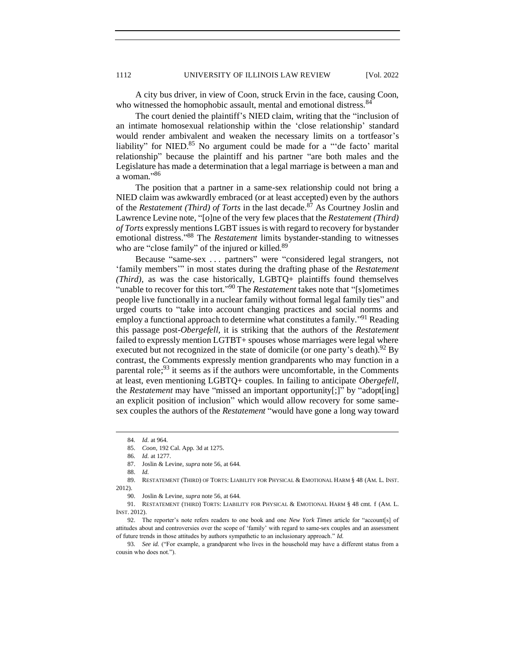A city bus driver, in view of Coon, struck Ervin in the face, causing Coon, who witnessed the homophobic assault, mental and emotional distress.<sup>84</sup>

The court denied the plaintiff's NIED claim, writing that the "inclusion of an intimate homosexual relationship within the 'close relationship' standard would render ambivalent and weaken the necessary limits on a tortfeasor's liability" for NIED. $85$  No argument could be made for a "'de facto' marital relationship" because the plaintiff and his partner "are both males and the Legislature has made a determination that a legal marriage is between a man and a woman." 86

The position that a partner in a same-sex relationship could not bring a NIED claim was awkwardly embraced (or at least accepted) even by the authors of the *Restatement (Third) of Torts* in the last decade.<sup>87</sup> As Courtney Joslin and Lawrence Levine note, "[o]ne of the very few places that the *Restatement (Third) of Torts* expressly mentions LGBT issues is with regard to recovery for bystander emotional distress."<sup>88</sup> The *Restatement* limits bystander-standing to witnesses who are "close family" of the injured or killed.<sup>89</sup>

Because "same-sex . . . partners" were "considered legal strangers, not 'family members'" in most states during the drafting phase of the *Restatement (Third)*, as was the case historically, LGBTQ+ plaintiffs found themselves "unable to recover for this tort." <sup>90</sup> The *Restatement* takes note that "[s]ometimes people live functionally in a nuclear family without formal legal family ties" and urged courts to "take into account changing practices and social norms and employ a functional approach to determine what constitutes a family."<sup>91</sup> Reading this passage post-*Obergefell,* it is striking that the authors of the *Restatement*  failed to expressly mention LGTBT+ spouses whose marriages were legal where executed but not recognized in the state of domicile (or one party's death).<sup>92</sup> By contrast, the Comments expressly mention grandparents who may function in a parental role;<sup>93</sup> it seems as if the authors were uncomfortable, in the Comments at least, even mentioning LGBTQ+ couples. In failing to anticipate *Obergefell*, the *Restatement* may have "missed an important opportunity[;]" by "adopt[ing] an explicit position of inclusion" which would allow recovery for some samesex couples the authors of the *Restatement* "would have gone a long way toward

88. *Id.*

<sup>84</sup>*. Id.* at 964.

<sup>85.</sup> *Coon*, 192 Cal. App. 3d at 1275.

<sup>86</sup>*. Id.* at 1277.

<sup>87.</sup> Joslin & Levine, *supra* note 56, at 644.

<sup>89.</sup> RESTATEMENT (THIRD) OF TORTS: LIABILITY FOR PHYSICAL & EMOTIONAL HARM § 48 (AM. L. INST. 2012).

<sup>90.</sup> Joslin & Levine, *supra* note 56, at 644.

<sup>91.</sup> RESTATEMENT (THIRD) TORTS: LIABILITY FOR PHYSICAL & EMOTIONAL HARM § 48 cmt. f (AM. L. INST. 2012).

<sup>92.</sup> The reporter's note refers readers to one book and one *New York Times* article for "account[s] of attitudes about and controversies over the scope of 'family' with regard to same-sex couples and an assessment of future trends in those attitudes by authors sympathetic to an inclusionary approach." *Id.*

<sup>93</sup>*. See id.* ("For example, a grandparent who lives in the household may have a different status from a cousin who does not.").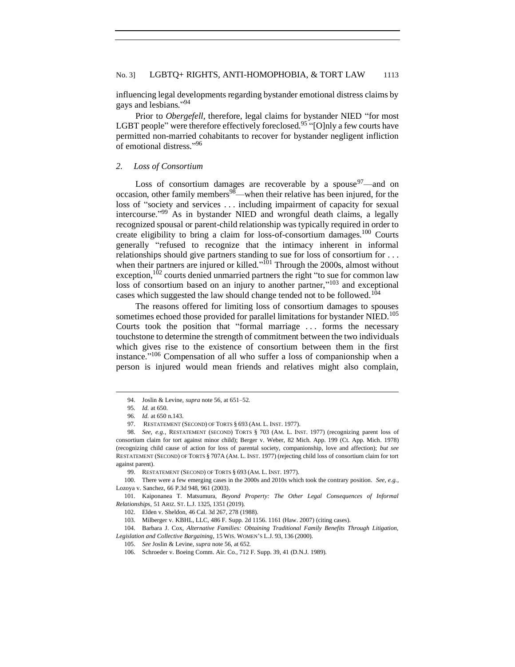influencing legal developments regarding bystander emotional distress claims by gays and lesbians." 94

Prior to *Obergefell,* therefore, legal claims for bystander NIED "for most LGBT people" were therefore effectively foreclosed.<sup>95</sup> "[O]nly a few courts have permitted non-married cohabitants to recover for bystander negligent infliction of emotional distress."96

#### <span id="page-10-0"></span>*2. Loss of Consortium*

Loss of consortium damages are recoverable by a spouse  $97$ —and on occasion, other family members<sup>98</sup>—when their relative has been injured, for the loss of "society and services . . . including impairment of capacity for sexual intercourse." <sup>99</sup> As in bystander NIED and wrongful death claims, a legally recognized spousal or parent-child relationship was typically required in order to create eligibility to bring a claim for loss-of-consortium damages.<sup>100</sup> Courts generally "refused to recognize that the intimacy inherent in informal relationships should give partners standing to sue for loss of consortium for . . . when their partners are injured or killed."<sup>101</sup> Through the 2000s, almost without exception, $102$  courts denied unmarried partners the right "to sue for common law loss of consortium based on an injury to another partner,"<sup>103</sup> and exceptional cases which suggested the law should change tended not to be followed.<sup>104</sup>

The reasons offered for limiting loss of consortium damages to spouses sometimes echoed those provided for parallel limitations for bystander NIED.<sup>105</sup> Courts took the position that "formal marriage . . . forms the necessary touchstone to determine the strength of commitment between the two individuals which gives rise to the existence of consortium between them in the first instance." <sup>106</sup> Compensation of all who suffer a loss of companionship when a person is injured would mean friends and relatives might also complain,

104. Barbara J. Cox, *Alternative Families: Obtaining Traditional Family Benefits Through Litigation, Legislation and Collective Bargaining*, 15 WIS. WOMEN'S L.J. 93, 136 (2000).

<sup>94.</sup> Joslin & Levine, *supra* note 56, at 651–52.

<sup>95</sup>*. Id.* at 650.

<sup>96</sup>*. Id.* at 650 n.143.

<sup>97.</sup> RESTATEMENT (SECOND) OF TORTS § 693 (AM. L. INST. 1977).

<sup>98.</sup> *See, e.g.*, RESTATEMENT (SECOND) TORTS § 703 (AM. L. INST. 1977) (recognizing parent loss of consortium claim for tort against minor child); Berger v. Weber, 82 Mich. App. 199 (Ct. App. Mich. 1978) (recognizing child cause of action for loss of parental society, companionship, love and affection); *but see*  RESTATEMENT (SECOND) OF TORTS § 707A (AM. L. INST. 1977) (rejecting child loss of consortium claim for tort against parent).

<sup>99.</sup> RESTATEMENT (SECOND) OF TORTS § 693 (AM. L. INST. 1977).

<sup>100.</sup> There were a few emerging cases in the 2000s and 2010s which took the contrary position. *See, e.g.*, Lozoya v. Sanchez*,* 66 P.3d 948, 961 (2003).

<sup>101.</sup> Kaiponanea T. Matsumura, *Beyond Property: The Other Legal Consequences of Informal Relationships*, 51 ARIZ. ST. L.J. 1325, 1351 (2019).

<sup>102.</sup> Elden v. Sheldon, 46 Cal. 3d 267, 278 (1988).

<sup>103.</sup> Milberger v. KBHL, LLC, 486 F. Supp. 2d 1156. 1161 (Haw. 2007) (citing cases).

<sup>105.</sup> *See* Joslin & Levine, *supra* note 56, at 652.

<sup>106.</sup> Schroeder v. Boeing Comm. Air. Co., 712 F. Supp. 39, 41 (D.N.J. 1989).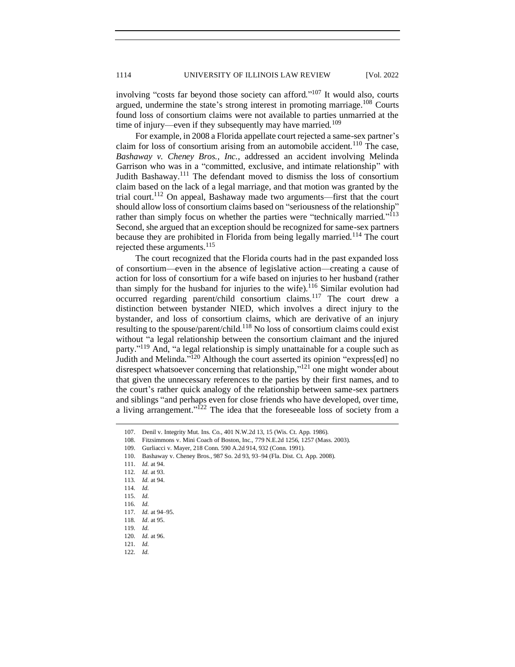involving "costs far beyond those society can afford."<sup>107</sup> It would also, courts argued, undermine the state's strong interest in promoting marriage.<sup>108</sup> Courts found loss of consortium claims were not available to parties unmarried at the time of injury—even if they subsequently may have married.<sup>109</sup>

For example, in 2008 a Florida appellate court rejected a same-sex partner's claim for loss of consortium arising from an automobile accident.<sup>110</sup> The case, *Bashaway v. Cheney Bros., Inc.*, addressed an accident involving Melinda Garrison who was in a "committed, exclusive, and intimate relationship" with Judith Bashaway.<sup>111</sup> The defendant moved to dismiss the loss of consortium claim based on the lack of a legal marriage, and that motion was granted by the trial court.<sup>112</sup> On appeal, Bashaway made two arguments—first that the court should allow loss of consortium claims based on "seriousness of the relationship" rather than simply focus on whether the parties were "technically married."<sup>113</sup> Second, she argued that an exception should be recognized for same-sex partners because they are prohibited in Florida from being legally married.<sup>114</sup> The court rejected these arguments.<sup>115</sup>

The court recognized that the Florida courts had in the past expanded loss of consortium—even in the absence of legislative action—creating a cause of action for loss of consortium for a wife based on injuries to her husband (rather than simply for the husband for injuries to the wife).<sup>116</sup> Similar evolution had occurred regarding parent/child consortium claims.<sup>117</sup> The court drew a distinction between bystander NIED, which involves a direct injury to the bystander, and loss of consortium claims, which are derivative of an injury resulting to the spouse/parent/child.<sup>118</sup> No loss of consortium claims could exist without "a legal relationship between the consortium claimant and the injured party."<sup>119</sup> And, "a legal relationship is simply unattainable for a couple such as Judith and Melinda."<sup>120</sup> Although the court asserted its opinion "express[ed] no disrespect whatsoever concerning that relationship,"<sup>121</sup> one might wonder about that given the unnecessary references to the parties by their first names, and to the court's rather quick analogy of the relationship between same-sex partners and siblings "and perhaps even for close friends who have developed, over time, a living arrangement."<sup>122</sup> The idea that the foreseeable loss of society from a

109. Gurliacci v. Mayer, 218 Conn. 590 A.2d 914, 932 (Conn. 1991).

111. *Id.* at 94.

<sup>107.</sup> Denil v. Integrity Mut. Ins. Co., 401 N.W.2d 13, 15 (Wis. Ct. App. 1986).

<sup>108.</sup> Fitzsimmons v. Mini Coach of Boston, Inc., 779 N.E.2d 1256, 1257 (Mass. 2003).

<sup>110.</sup> Bashaway v. Cheney Bros., 987 So. 2d 93, 93–94 (Fla. Dist. Ct. App. 2008).

<sup>112</sup>*. Id.* at 93.

<sup>113</sup>*. Id.* at 94.

<sup>114</sup>*. Id.*

<sup>115.</sup> *Id.*

<sup>116</sup>*. Id.*

<sup>117</sup>*. Id.* at 94–95.

<sup>118</sup>*. Id*. at 95.

<sup>119</sup>*. Id.*

<sup>120</sup>*. Id.* at 96.

<sup>121</sup>*. Id.*

<sup>122</sup>*. Id.*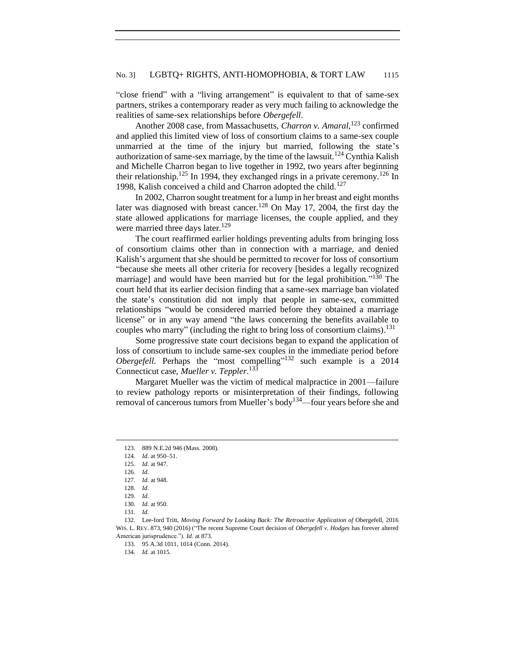### No. 3] LGBTQ+ RIGHTS, ANTI-HOMOPHOBIA, & TORT LAW 1115

"close friend" with a "living arrangement" is equivalent to that of same-sex partners, strikes a contemporary reader as very much failing to acknowledge the realities of same-sex relationships before *Obergefell*.

Another 2008 case, from Massachusetts, *Charron v. Amaral*, <sup>123</sup> confirmed and applied this limited view of loss of consortium claims to a same-sex couple unmarried at the time of the injury but married, following the state's authorization of same-sex marriage, by the time of the lawsuit.<sup>124</sup> Cynthia Kalish and Michelle Charron began to live together in 1992, two years after beginning their relationship.<sup>125</sup> In 1994, they exchanged rings in a private ceremony.<sup>126</sup> In 1998, Kalish conceived a child and Charron adopted the child.<sup>127</sup>

In 2002, Charron sought treatment for a lump in her breast and eight months later was diagnosed with breast cancer.<sup>128</sup> On May 17, 2004, the first day the state allowed applications for marriage licenses, the couple applied, and they were married three days later.<sup>129</sup>

The court reaffirmed earlier holdings preventing adults from bringing loss of consortium claims other than in connection with a marriage, and denied Kalish's argument that she should be permitted to recover for loss of consortium "because she meets all other criteria for recovery [besides a legally recognized marriage] and would have been married but for the legal prohibition."<sup>130</sup> The court held that its earlier decision finding that a same-sex marriage ban violated the state's constitution did not imply that people in same-sex, committed relationships "would be considered married before they obtained a marriage license" or in any way amend "the laws concerning the benefits available to couples who marry" (including the right to bring loss of consortium claims).<sup>131</sup>

Some progressive state court decisions began to expand the application of loss of consortium to include same-sex couples in the immediate period before *Obergefell*. Perhaps the "most compelling"<sup>132</sup> such example is a 2014 Connecticut case, *Mueller v. Teppler*. 133

Margaret Mueller was the victim of medical malpractice in 2001—failure to review pathology reports or misinterpretation of their findings, following removal of cancerous tumors from Mueller's body134—four years before she and

<sup>123.</sup> 889 N.E.2d 946 (Mass. 2008).

<sup>124.</sup> *Id.* at 950–51.

<sup>125</sup>*. Id*. at 947.

<sup>126</sup>*. Id.*

<sup>127</sup>*. Id.* at 948.

<sup>128</sup>*. Id*.

<sup>129</sup>*. Id.*

<sup>130</sup>*. Id.* at 950.

<sup>131</sup>*. Id.*

<sup>132.</sup> Lee-ford Tritt, *Moving Forward by Looking Back: The Retroactive Application of Obergefell*, 2016 WIS. L. REV. 873, 940 (2016) ("The recent Supreme Court decision of *Obergefell v. Hodges* has forever altered American jurisprudence."). *Id.* at 873.

<sup>133.</sup> 95 A.3d 1011, 1014 (Conn. 2014).

<sup>134.</sup> *Id.* at 1015.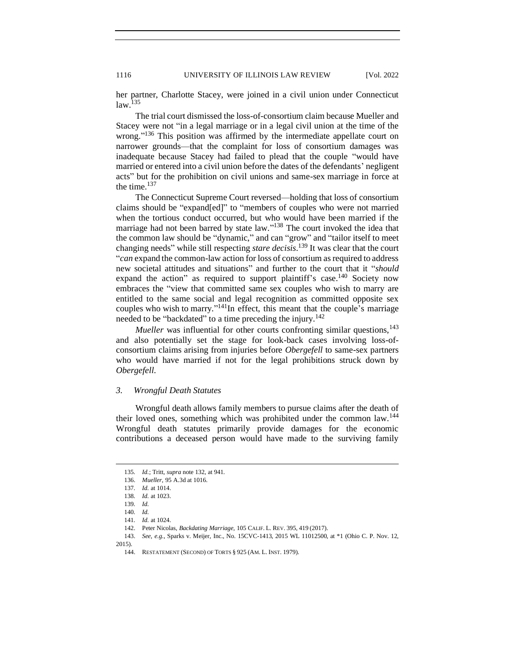her partner, Charlotte Stacey, were joined in a civil union under Connecticut law.<sup>135</sup>

The trial court dismissed the loss-of-consortium claim because Mueller and Stacey were not "in a legal marriage or in a legal civil union at the time of the wrong."<sup>136</sup> This position was affirmed by the intermediate appellate court on narrower grounds—that the complaint for loss of consortium damages was inadequate because Stacey had failed to plead that the couple "would have married or entered into a civil union before the dates of the defendants' negligent acts" but for the prohibition on civil unions and same-sex marriage in force at the time.<sup>137</sup>

The Connecticut Supreme Court reversed—holding that loss of consortium claims should be "expand[ed]" to "members of couples who were not married when the tortious conduct occurred, but who would have been married if the marriage had not been barred by state law."<sup>138</sup> The court invoked the idea that the common law should be "dynamic," and can "grow" and "tailor itself to meet changing needs" while still respecting *stare decisis*. <sup>139</sup> It was clear that the court "*can* expand the common-law action for loss of consortium as required to address new societal attitudes and situations" and further to the court that it "*should* expand the action" as required to support plaintiff's case.<sup>140</sup> Society now embraces the "view that committed same sex couples who wish to marry are entitled to the same social and legal recognition as committed opposite sex couples who wish to marry." $^{141}$ In effect, this meant that the couple's marriage needed to be "backdated" to a time preceding the injury.<sup>142</sup>

*Mueller* was influential for other courts confronting similar questions,<sup>143</sup> and also potentially set the stage for look-back cases involving loss-ofconsortium claims arising from injuries before *Obergefell* to same-sex partners who would have married if not for the legal prohibitions struck down by *Obergefell*.

#### <span id="page-13-0"></span>*3. Wrongful Death Statutes*

Wrongful death allows family members to pursue claims after the death of their loved ones, something which was prohibited under the common law.<sup>144</sup> Wrongful death statutes primarily provide damages for the economic contributions a deceased person would have made to the surviving family

2015).

<sup>135</sup>*. Id.*; Tritt, *supra* note 132, at 941.

<sup>136.</sup> *Mueller*, 95 A.3d at 1016.

<sup>137</sup>*. Id.* at 1014.

<sup>138</sup>*. Id.* at 1023.

<sup>139</sup>*. Id.*

<sup>140</sup>*. Id.*

<sup>141</sup>*. Id.* at 1024.

<sup>142.</sup> Peter Nicolas, *Backdating Marriage,* 105 CALIF. L. REV. 395, 419 (2017).

<sup>143.</sup> *See, e.g.*, Sparks v. Meijer, Inc., No. 15CVC-1413, 2015 WL 11012500, at \*1 (Ohio C. P. Nov. 12,

<sup>144.</sup> RESTATEMENT (SECOND) OF TORTS § 925 (AM. L. INST. 1979).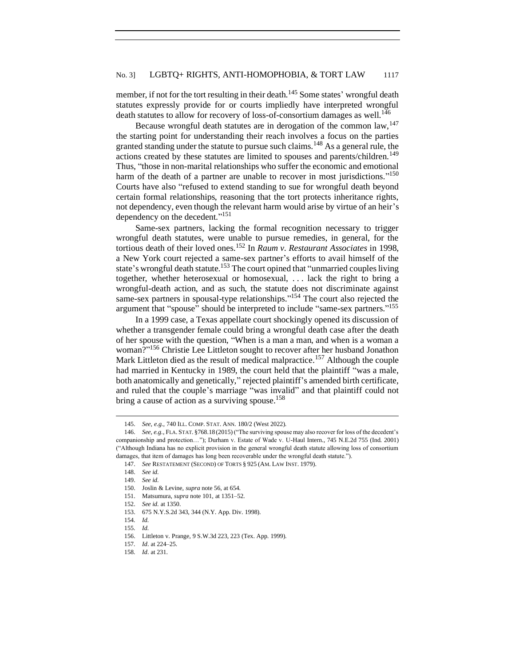# No. 3] LGBTQ+ RIGHTS, ANTI-HOMOPHOBIA, & TORT LAW 1117

member, if not for the tort resulting in their death.<sup>145</sup> Some states' wrongful death statutes expressly provide for or courts impliedly have interpreted wrongful death statutes to allow for recovery of loss-of-consortium damages as well.<sup>146</sup>

Because wrongful death statutes are in derogation of the common  $law$ ,  $147$ the starting point for understanding their reach involves a focus on the parties granted standing under the statute to pursue such claims.<sup>148</sup> As a general rule, the actions created by these statutes are limited to spouses and parents/children.<sup>149</sup> Thus, "those in non-marital relationships who suffer the economic and emotional harm of the death of a partner are unable to recover in most jurisdictions."<sup>150</sup> Courts have also "refused to extend standing to sue for wrongful death beyond certain formal relationships, reasoning that the tort protects inheritance rights, not dependency, even though the relevant harm would arise by virtue of an heir's dependency on the decedent." 151

Same-sex partners, lacking the formal recognition necessary to trigger wrongful death statutes, were unable to pursue remedies, in general, for the tortious death of their loved ones.<sup>152</sup> In *Raum v. Restaurant Associates* in 1998*,*  a New York court rejected a same-sex partner's efforts to avail himself of the state's wrongful death statute.<sup>153</sup> The court opined that "unmarried couples living together, whether heterosexual or homosexual, . . . lack the right to bring a wrongful-death action, and as such, the statute does not discriminate against same-sex partners in spousal-type relationships."<sup>154</sup> The court also rejected the argument that "spouse" should be interpreted to include "same-sex partners." 155

In a 1999 case, a Texas appellate court shockingly opened its discussion of whether a transgender female could bring a wrongful death case after the death of her spouse with the question, "When is a man a man, and when is a woman a woman?" <sup>156</sup> Christie Lee Littleton sought to recover after her husband Jonathon Mark Littleton died as the result of medical malpractice.<sup>157</sup> Although the couple had married in Kentucky in 1989, the court held that the plaintiff "was a male, both anatomically and genetically," rejected plaintiff's amended birth certificate, and ruled that the couple's marriage "was invalid" and that plaintiff could not bring a cause of action as a surviving spouse.<sup>158</sup>

<sup>145.</sup> *See, e.g.*, 740 ILL. COMP. STAT. ANN. 180/2 (West 2022).

<sup>146.</sup> *See, e.g.*, FLA. STAT. §768.18 (2015) ("The surviving spouse may also recover for loss of the decedent's companionship and protection…"); Durham v. Estate of Wade v. U-Haul Intern., 745 N.E.2d 755 (Ind. 2001) ("Although Indiana has no explicit provision in the general wrongful death statute allowing loss of consortium damages, that item of damages has long been recoverable under the wrongful death statute.").

<sup>147.</sup> *See* RESTATEMENT (SECOND) OF TORTS § 925 (AM. LAW INST. 1979).

<sup>148.</sup> *See id.*

<sup>149.</sup> *See id.*

<sup>150.</sup> Joslin & Levine, *supra* note 56, at 654.

<sup>151.</sup> Matsumura, *supra* note 101, at 1351–52.

<sup>152.</sup> *See id.* at 1350.

<sup>153.</sup> 675 N.Y.S.2d 343, 344 (N.Y. App. Div. 1998).

<sup>154</sup>*. Id.*

<sup>155</sup>*. Id.*

<sup>156.</sup> Littleton v. Prange, 9 S.W.3d 223, 223 (Tex. App. 1999).

<sup>157</sup>*. Id*. at 224–25.

<sup>158</sup>*. Id*. at 231.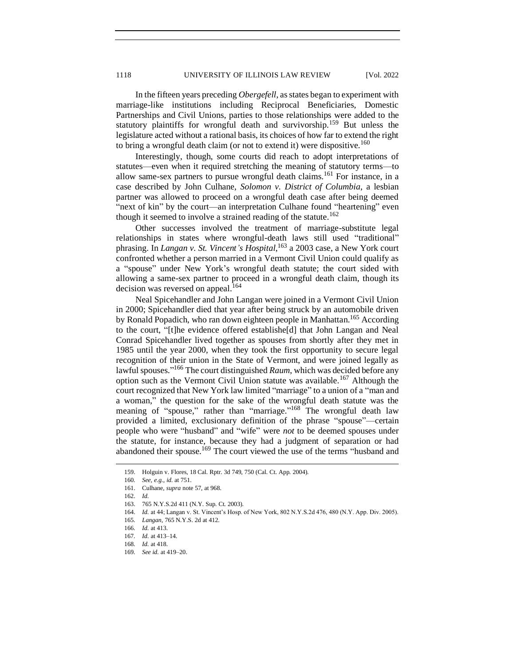In the fifteen years preceding *Obergefell*, as states began to experiment with marriage-like institutions including Reciprocal Beneficiaries, Domestic Partnerships and Civil Unions, parties to those relationships were added to the statutory plaintiffs for wrongful death and survivorship.<sup>159</sup> But unless the legislature acted without a rational basis, its choices of how far to extend the right to bring a wrongful death claim (or not to extend it) were dispositive.<sup>160</sup>

Interestingly, though, some courts did reach to adopt interpretations of statutes—even when it required stretching the meaning of statutory terms—to allow same-sex partners to pursue wrongful death claims.<sup>161</sup> For instance, in a case described by John Culhane, *Solomon v. District of Columbia*, a lesbian partner was allowed to proceed on a wrongful death case after being deemed "next of kin" by the court—an interpretation Culhane found "heartening" even though it seemed to involve a strained reading of the statute.<sup>162</sup>

Other successes involved the treatment of marriage-substitute legal relationships in states where wrongful-death laws still used "traditional" phrasing. In *Langan v. St. Vincent's Hospital*, <sup>163</sup> a 2003 case, a New York court confronted whether a person married in a Vermont Civil Union could qualify as a "spouse" under New York's wrongful death statute; the court sided with allowing a same-sex partner to proceed in a wrongful death claim, though its decision was reversed on appeal.<sup>164</sup>

Neal Spicehandler and John Langan were joined in a Vermont Civil Union in 2000; Spicehandler died that year after being struck by an automobile driven by Ronald Popadich, who ran down eighteen people in Manhattan.<sup>165</sup> According to the court, "[t]he evidence offered establishe[d] that John Langan and Neal Conrad Spicehandler lived together as spouses from shortly after they met in 1985 until the year 2000, when they took the first opportunity to secure legal recognition of their union in the State of Vermont, and were joined legally as lawful spouses." <sup>166</sup> The court distinguished *Raum*, which was decided before any option such as the Vermont Civil Union statute was available.<sup>167</sup> Although the court recognized that New York law limited "marriage" to a union of a "man and a woman," the question for the sake of the wrongful death statute was the meaning of "spouse," rather than "marriage."<sup>168</sup> The wrongful death law provided a limited, exclusionary definition of the phrase "spouse"—certain people who were "husband" and "wife" were *not* to be deemed spouses under the statute, for instance, because they had a judgment of separation or had abandoned their spouse.<sup>169</sup> The court viewed the use of the terms "husband and

<sup>159.</sup> Holguin v. Flores, 18 Cal. Rptr. 3d 749, 750 (Cal. Ct. App. 2004).

<sup>160</sup>*. See, e.g.*, *id.* at 751.

<sup>161.</sup> Culhane, *supra* note 57, at 968.

<sup>162.</sup> *Id.*

<sup>163.</sup> 765 N.Y.S.2d 411 (N.Y. Sup. Ct. 2003).

<sup>164.</sup> *Id.* at 44; Langan v. St. Vincent's Hosp. of New York, 802 N.Y.S.2d 476, 480 (N.Y. App. Div. 2005).

<sup>165</sup>*. Langan*, 765 N.Y.S. 2d at 412.

<sup>166</sup>*. Id.* at 413.

<sup>167</sup>*. Id.* at 413–14.

<sup>168</sup>*. Id.* at 418.

<sup>169</sup>*. See id.* at 419–20.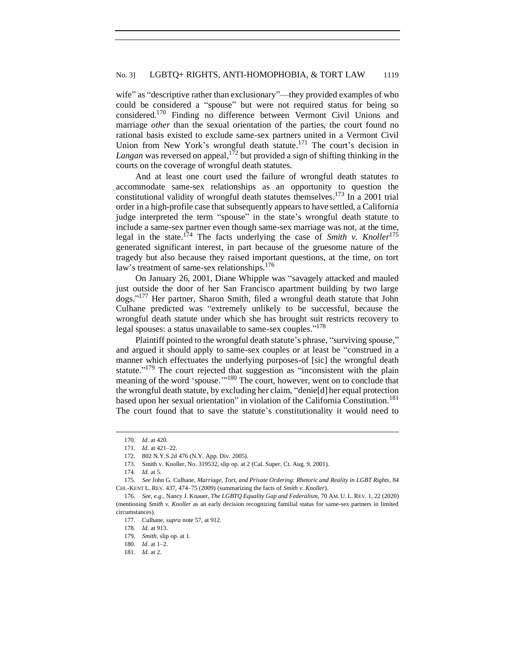wife" as "descriptive rather than exclusionary"—they provided examples of who could be considered a "spouse" but were not required status for being so considered.<sup>170</sup> Finding no difference between Vermont Civil Unions and marriage *other* than the sexual orientation of the parties, the court found no rational basis existed to exclude same-sex partners united in a Vermont Civil Union from New York's wrongful death statute.<sup>171</sup> The court's decision in Langan was reversed on appeal,<sup>172</sup> but provided a sign of shifting thinking in the courts on the coverage of wrongful death statutes.

And at least one court used the failure of wrongful death statutes to accommodate same-sex relationships as an opportunity to question the constitutional validity of wrongful death statutes themselves.<sup>173</sup> In a 2001 trial order in a high-profile case that subsequently appears to have settled, a California judge interpreted the term "spouse" in the state's wrongful death statute to include a same-sex partner even though same-sex marriage was not, at the time, legal in the state.<sup>174</sup> The facts underlying the case of *Smith v. Knoller*<sup>175</sup> generated significant interest, in part because of the gruesome nature of the tragedy but also because they raised important questions, at the time, on tort law's treatment of same-sex relationships.<sup>176</sup>

On January 26, 2001, Diane Whipple was "savagely attacked and mauled just outside the door of her San Francisco apartment building by two large dogs." <sup>177</sup> Her partner, Sharon Smith, filed a wrongful death statute that John Culhane predicted was "extremely unlikely to be successful, because the wrongful death statute under which she has brought suit restricts recovery to legal spouses: a status unavailable to same-sex couples."<sup>178</sup>

Plaintiff pointed to the wrongful death statute's phrase, "surviving spouse," and argued it should apply to same-sex couples or at least be "construed in a manner which effectuates the underlying purposes-of [sic] the wrongful death statute."<sup>179</sup> The court rejected that suggestion as "inconsistent with the plain meaning of the word 'spouse."<sup>180</sup> The court, however, went on to conclude that the wrongful death statute, by excluding her claim, "denie[d] her equal protection based upon her sexual orientation" in violation of the California Constitution.<sup>181</sup> The court found that to save the statute's constitutionality it would need to

<sup>170</sup>*. Id.* at 420.

<sup>171.</sup> *Id.* at 421–22.

<sup>172.</sup> 802 N.Y.S.2d 476 (N.Y. App. Div. 2005).

<sup>173.</sup> Smith v. Knoller, No. 319532, slip op. at 2 (Cal. Super. Ct. Aug. 9, 2001).

<sup>174.</sup> *Id.* at 5.

<sup>175.</sup> *See* John G. Culhane, *Marriage, Tort, and Private Ordering: Rhetoric and Reality in LGBT Rights*, 84 CHI.-KENT L. REV. 437, 474–75 (2009) (summarizing the facts of *Smith v. Knoller*).

<sup>176.</sup> *See, e.g.*, Nancy J. Knauer, *The LGBTQ Equality Gap and Federalism*, 70 AM. U. L. REV. 1, 22 (2020) (mentioning *Smith v. Knoller* as an early decision recognizing familial status for same-sex partners in limited circumstances).

<sup>177.</sup> Culhane, *supra* note 57, at 912.

<sup>178</sup>*. Id.* at 913.

<sup>179.</sup> *Smith*, slip op. at 1.

<sup>180</sup>*. Id.* at 1–2.

<sup>181.</sup> *Id.* at 2.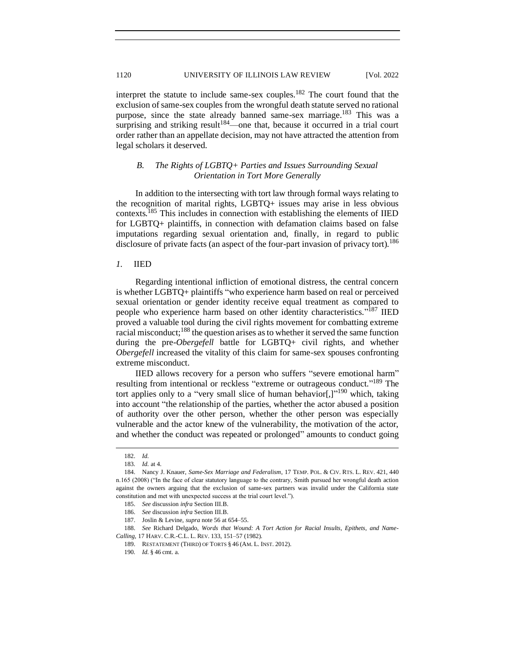interpret the statute to include same-sex couples.<sup>182</sup> The court found that the exclusion of same-sex couples from the wrongful death statute served no rational purpose, since the state already banned same-sex marriage.<sup>183</sup> This was a surprising and striking result $184$ —one that, because it occurred in a trial court order rather than an appellate decision, may not have attracted the attention from legal scholars it deserved.

## <span id="page-17-0"></span>*B. The Rights of LGBTQ+ Parties and Issues Surrounding Sexual Orientation in Tort More Generally*

In addition to the intersecting with tort law through formal ways relating to the recognition of marital rights, LGBTQ+ issues may arise in less obvious contexts.<sup>185</sup> This includes in connection with establishing the elements of IIED for LGBTQ+ plaintiffs, in connection with defamation claims based on false imputations regarding sexual orientation and, finally, in regard to public disclosure of private facts (an aspect of the four-part invasion of privacy tort).<sup>186</sup>

#### <span id="page-17-1"></span>*1.* IIED

Regarding intentional infliction of emotional distress, the central concern is whether LGBTQ+ plaintiffs "who experience harm based on real or perceived sexual orientation or gender identity receive equal treatment as compared to people who experience harm based on other identity characteristics."<sup>187</sup> IIED proved a valuable tool during the civil rights movement for combatting extreme racial misconduct; $^{188}$  the question arises as to whether it served the same function during the pre-*Obergefell* battle for LGBTQ+ civil rights, and whether *Obergefell* increased the vitality of this claim for same-sex spouses confronting extreme misconduct.

IIED allows recovery for a person who suffers "severe emotional harm" resulting from intentional or reckless "extreme or outrageous conduct."<sup>189</sup> The tort applies only to a "very small slice of human behavior[,]"<sup>190</sup> which, taking into account "the relationship of the parties, whether the actor abused a position of authority over the other person, whether the other person was especially vulnerable and the actor knew of the vulnerability, the motivation of the actor, and whether the conduct was repeated or prolonged" amounts to conduct going

188. *See* Richard Delgado, *Words that Wound: A Tort Action for Racial Insults, Epithets, and Name-Calling*, 17 HARV. C.R.-C.L. L. REV. 133, 151–57 (1982).

<sup>182.</sup> *Id.*

<sup>183</sup>*. Id.* at 4.

<sup>184.</sup> Nancy J. Knauer, *Same-Sex Marriage and Federalism*, 17 TEMP. POL. & CIV. RTS. L. REV. 421, 440 n.165 (2008) ("In the face of clear statutory language to the contrary, Smith pursued her wrongful death action against the owners arguing that the exclusion of same-sex partners was invalid under the California state constitution and met with unexpected success at the trial court level.").

<sup>185.</sup> *See* discussion *infra* Section III.B.

<sup>186.</sup> *See* discussion *infra* Section III.B.

<sup>187.</sup> Joslin & Levine, *supra* note 56 at 654–55.

<sup>189.</sup> RESTATEMENT (THIRD) OF TORTS § 46 (AM. L. INST. 2012).

<sup>190</sup>*. Id.* § 46 cmt. a.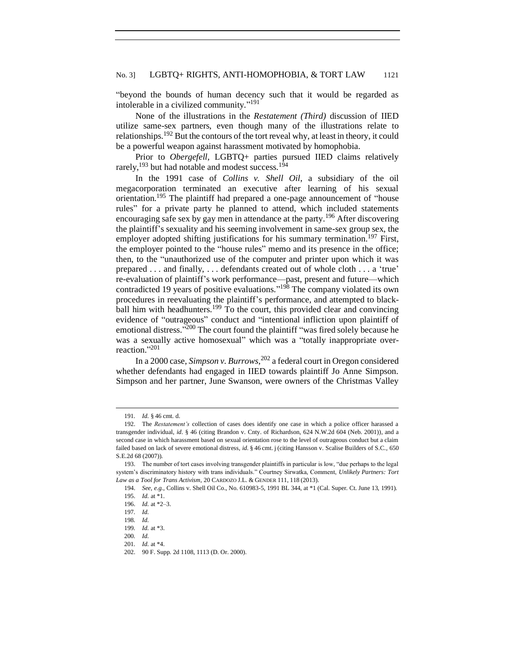"beyond the bounds of human decency such that it would be regarded as intolerable in a civilized community." 191

None of the illustrations in the *Restatement (Third)* discussion of IIED utilize same-sex partners, even though many of the illustrations relate to relationships.<sup>192</sup> But the contours of the tort reveal why, at least in theory, it could be a powerful weapon against harassment motivated by homophobia.

Prior to *Obergefell,* LGBTQ+ parties pursued IIED claims relatively rarely,<sup>193</sup> but had notable and modest success.<sup>194</sup>

In the 1991 case of *Collins v. Shell Oil*, a subsidiary of the oil megacorporation terminated an executive after learning of his sexual orientation.<sup>195</sup> The plaintiff had prepared a one-page announcement of "house rules" for a private party he planned to attend, which included statements encouraging safe sex by gay men in attendance at the party.<sup>196</sup> After discovering the plaintiff's sexuality and his seeming involvement in same-sex group sex, the employer adopted shifting justifications for his summary termination.<sup>197</sup> First, the employer pointed to the "house rules" memo and its presence in the office; then, to the "unauthorized use of the computer and printer upon which it was prepared . . . and finally, . . . defendants created out of whole cloth . . . a 'true' re-evaluation of plaintiff's work performance—past, present and future—which contradicted 19 years of positive evaluations." <sup>198</sup> The company violated its own procedures in reevaluating the plaintiff's performance, and attempted to blackball him with headhunters.<sup>199</sup> To the court, this provided clear and convincing evidence of "outrageous" conduct and "intentional infliction upon plaintiff of emotional distress."<sup>200</sup> The court found the plaintiff "was fired solely because he was a sexually active homosexual" which was a "totally inappropriate overreaction." 201

In a 2000 case, *Simpson v. Burrows*, <sup>202</sup> a federal court in Oregon considered whether defendants had engaged in IIED towards plaintiff Jo Anne Simpson. Simpson and her partner, June Swanson, were owners of the Christmas Valley

<sup>191</sup>*. Id.* § 46 cmt. d.

<sup>192.</sup> The *Restatement's* collection of cases does identify one case in which a police officer harassed a transgender individual, *id*. § 46 (citing Brandon v. Cnty. of Richardson, 624 N.W.2d 604 (Neb. 2001)), and a second case in which harassment based on sexual orientation rose to the level of outrageous conduct but a claim failed based on lack of severe emotional distress, *id.* § 46 cmt. j (citing Hansson v. Scalise Builders of S.C.*,* 650 S.E.2d 68 (2007)).

<sup>193.</sup> The number of tort cases involving transgender plaintiffs in particular is low, "due perhaps to the legal system's discriminatory history with trans individuals." Courtney Sirwatka, Comment, *Unlikely Partners: Tort Law as a Tool for Trans Activism*, 20 CARDOZO J.L. & GENDER 111, 118 (2013).

<sup>194.</sup> *See, e.g.*, Collins v. Shell Oil Co., No. 610983-5, 1991 BL 344, at \*1 (Cal. Super. Ct. June 13, 1991). 195. *Id.* at \*1.

<sup>196.</sup> *Id.* at \*2–3.

<sup>197</sup>*. Id.*

<sup>198</sup>*. Id.*

<sup>199</sup>*. Id.* at \*3.

<sup>200</sup>*. Id.*

<sup>201</sup>*. Id.* at \*4.

<sup>202.</sup> 90 F. Supp. 2d 1108, 1113 (D. Or. 2000).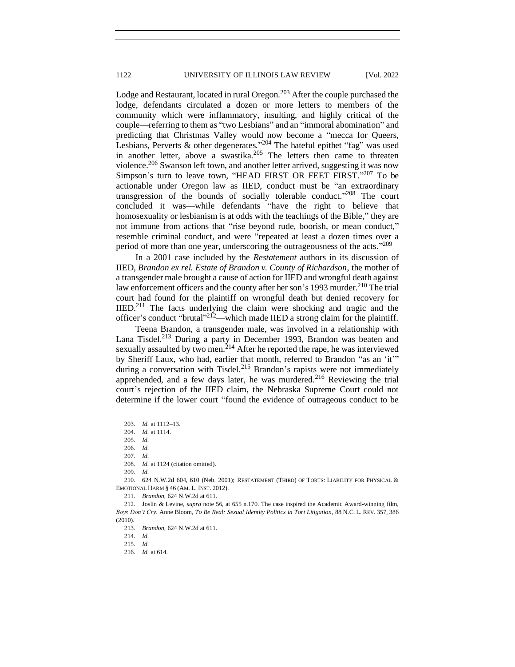Lodge and Restaurant, located in rural Oregon. $203$  After the couple purchased the lodge, defendants circulated a dozen or more letters to members of the community which were inflammatory, insulting, and highly critical of the couple—referring to them as "two Lesbians" and an "immoral abomination" and predicting that Christmas Valley would now become a "mecca for Queers, Lesbians, Perverts & other degenerates."<sup>204</sup> The hateful epithet "fag" was used in another letter, above a swastika.<sup>205</sup> The letters then came to threaten violence.<sup>206</sup> Swanson left town, and another letter arrived, suggesting it was now Simpson's turn to leave town, "HEAD FIRST OR FEET FIRST."207 To be actionable under Oregon law as IIED, conduct must be "an extraordinary transgression of the bounds of socially tolerable conduct." <sup>208</sup> The court concluded it was—while defendants "have the right to believe that homosexuality or lesbianism is at odds with the teachings of the Bible," they are not immune from actions that "rise beyond rude, boorish, or mean conduct," resemble criminal conduct, and were "repeated at least a dozen times over a period of more than one year, underscoring the outrageousness of the acts."<sup>209</sup>

In a 2001 case included by the *Restatement* authors in its discussion of IIED, *Brandon ex rel. Estate of Brandon v. County of Richardson*, the mother of a transgender male brought a cause of action for IIED and wrongful death against law enforcement officers and the county after her son's 1993 murder.<sup>210</sup> The trial court had found for the plaintiff on wrongful death but denied recovery for IIED.<sup>211</sup> The facts underlying the claim were shocking and tragic and the officer's conduct "brutal"<sup>212</sup>—which made IIED a strong claim for the plaintiff.

Teena Brandon, a transgender male, was involved in a relationship with Lana Tisdel.<sup>213</sup> During a party in December 1993, Brandon was beaten and sexually assaulted by two men.<sup>214</sup> After he reported the rape, he was interviewed by Sheriff Laux, who had, earlier that month, referred to Brandon "as an 'it'" during a conversation with Tisdel.<sup>215</sup> Brandon's rapists were not immediately apprehended, and a few days later, he was murdered.<sup>216</sup> Reviewing the trial court's rejection of the IIED claim, the Nebraska Supreme Court could not determine if the lower court "found the evidence of outrageous conduct to be

210. 624 N.W.2d 604, 610 (Neb. 2001); RESTATEMENT (THIRD) OF TORTS: LIABILITY FOR PHYSICAL & EMOTIONAL HARM § 46 (AM. L. INST. 2012).

211*. Brandon*, 624 N.W.2d at 611.

212. Joslin & Levine, *supra* note 56, at 655 n.170. The case inspired the Academic Award-winning film, *Boys Don't Cry*. Anne Bloom, *To Be Real: Sexual Identity Politics in Tort Litigation*, 88 N.C. L. REV. 357, 386 (2010).

213. *Brandon*, 624 N.W.2d at 611.

<sup>203.</sup> *Id.* at 1112–13.

<sup>204</sup>*. Id.* at 1114.

<sup>205</sup>*. Id.* 

<sup>206.</sup> *Id.*

<sup>207</sup>*. Id.*

<sup>208</sup>*. Id.* at 1124 (citation omitted).

<sup>209</sup>*. Id.*

<sup>214.</sup> *Id.*

<sup>215</sup>*. Id.*

<sup>216.</sup> *Id.* at 614.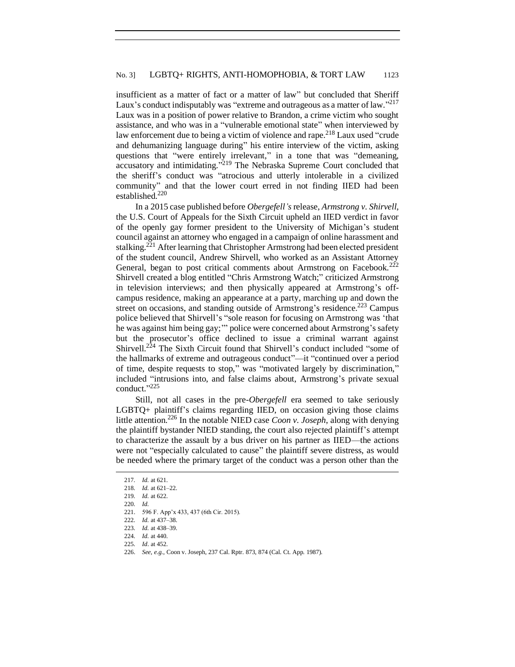insufficient as a matter of fact or a matter of law" but concluded that Sheriff Laux's conduct indisputably was "extreme and outrageous as a matter of law."<sup>217</sup> Laux was in a position of power relative to Brandon, a crime victim who sought assistance, and who was in a "vulnerable emotional state" when interviewed by law enforcement due to being a victim of violence and rape.<sup>218</sup> Laux used "crude" and dehumanizing language during" his entire interview of the victim, asking questions that "were entirely irrelevant," in a tone that was "demeaning, accusatory and intimidating."<sup>219</sup> The Nebraska Supreme Court concluded that the sheriff's conduct was "atrocious and utterly intolerable in a civilized community" and that the lower court erred in not finding IIED had been established.<sup>220</sup>

In a 2015 case published before *Obergefell's* release, *Armstrong v. Shirvell*, the U.S. Court of Appeals for the Sixth Circuit upheld an IIED verdict in favor of the openly gay former president to the University of Michigan's student council against an attorney who engaged in a campaign of online harassment and stalking.<sup>221</sup> After learning that Christopher Armstrong had been elected president of the student council, Andrew Shirvell, who worked as an Assistant Attorney General, began to post critical comments about Armstrong on Facebook.<sup>222</sup> Shirvell created a blog entitled "Chris Armstrong Watch;" criticized Armstrong in television interviews; and then physically appeared at Armstrong's offcampus residence, making an appearance at a party, marching up and down the street on occasions, and standing outside of Armstrong's residence.<sup>223</sup> Campus police believed that Shirvell's "sole reason for focusing on Armstrong was 'that he was against him being gay;'" police were concerned about Armstrong's safety but the prosecutor's office declined to issue a criminal warrant against Shirvell.<sup>224</sup> The Sixth Circuit found that Shirvell's conduct included "some of the hallmarks of extreme and outrageous conduct"—it "continued over a period of time, despite requests to stop," was "motivated largely by discrimination," included "intrusions into, and false claims about, Armstrong's private sexual conduct." 225

Still, not all cases in the pre-*Obergefell* era seemed to take seriously LGBTQ+ plaintiff's claims regarding IIED, on occasion giving those claims little attention.<sup>226</sup> In the notable NIED case *Coon v. Joseph*, along with denying the plaintiff bystander NIED standing, the court also rejected plaintiff's attempt to characterize the assault by a bus driver on his partner as IIED—the actions were not "especially calculated to cause" the plaintiff severe distress, as would be needed where the primary target of the conduct was a person other than the

- 224*. Id.* at 440.
- 225*. Id*. at 452.

<sup>217</sup>*. Id.* at 621.

<sup>218</sup>*. Id.* at 621–22.

<sup>219</sup>*. Id.* at 622.

<sup>220</sup>*. Id.*

<sup>221.</sup> 596 F. App'x 433, 437 (6th Cir. 2015).

<sup>222</sup>*. Id.* at 437–38.

<sup>223</sup>*. Id.* at 438–39.

<sup>226.</sup> *See, e.g.*, Coon v. Joseph, 237 Cal. Rptr. 873, 874 (Cal. Ct. App. 1987).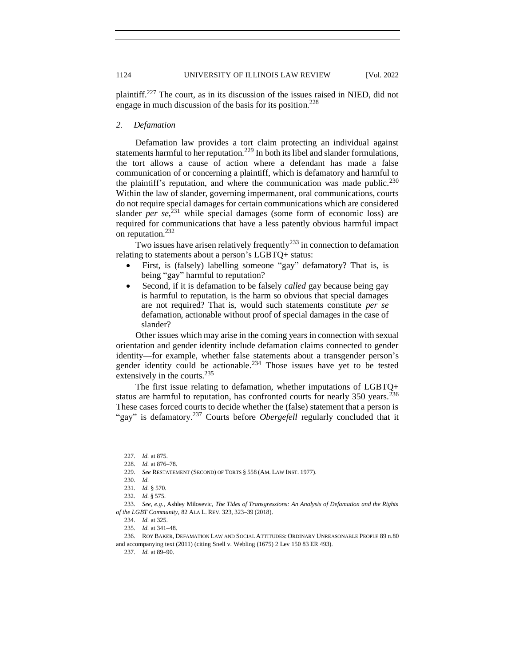plaintiff.<sup>227</sup> The court, as in its discussion of the issues raised in NIED, did not engage in much discussion of the basis for its position.<sup>228</sup>

#### <span id="page-21-0"></span>*2. Defamation*

Defamation law provides a tort claim protecting an individual against statements harmful to her reputation.<sup>229</sup> In both its libel and slander formulations, the tort allows a cause of action where a defendant has made a false communication of or concerning a plaintiff, which is defamatory and harmful to the plaintiff's reputation, and where the communication was made public.<sup>230</sup> Within the law of slander, governing impermanent, oral communications, courts do not require special damages for certain communications which are considered slander *per se*<sup>231</sup> while special damages (some form of economic loss) are required for communications that have a less patently obvious harmful impact on reputation.<sup>232</sup>

Two issues have arisen relatively frequently<sup>233</sup> in connection to defamation relating to statements about a person's LGBTQ+ status:

- First, is (falsely) labelling someone "gay" defamatory? That is, is being "gay" harmful to reputation?
- Second, if it is defamation to be falsely *called* gay because being gay is harmful to reputation, is the harm so obvious that special damages are not required? That is, would such statements constitute *per se* defamation, actionable without proof of special damages in the case of slander?

Other issues which may arise in the coming years in connection with sexual orientation and gender identity include defamation claims connected to gender identity—for example, whether false statements about a transgender person's gender identity could be actionable.<sup>234</sup> Those issues have yet to be tested extensively in the courts.<sup>235</sup>

The first issue relating to defamation, whether imputations of LGBTQ+ status are harmful to reputation, has confronted courts for nearly 350 years.<sup>236</sup> These cases forced courts to decide whether the (false) statement that a person is "gay" is defamatory.<sup>237</sup> Courts before *Obergefell* regularly concluded that it

<sup>227.</sup> *Id.* at 875.

<sup>228.</sup> *Id.* at 876–78.

<sup>229.</sup> *See* RESTATEMENT (SECOND) OF TORTS § 558 (AM. LAW INST. 1977).

<sup>230</sup>*. Id.*

<sup>231</sup>*. Id.* § 570.

<sup>232.</sup> *Id.* § 575.

<sup>233.</sup> *See, e.g.*, Ashley Milosevic, *The Tides of Transgressions: An Analysis of Defamation and the Rights of the LGBT Community*, 82 ALA L. REV. 323, 323–39 (2018).

<sup>234.</sup> *Id.* at 325.

<sup>235.</sup> *Id.* at 341–48.

<sup>236.</sup> ROY BAKER, DEFAMATION LAW AND SOCIAL ATTITUDES: ORDINARY UNREASONABLE PEOPLE 89 n.80 and accompanying text (2011) (citing Snell v. Webling (1675) 2 Lev 150 83 ER 493).

<sup>237.</sup> *Id.* at 89–90.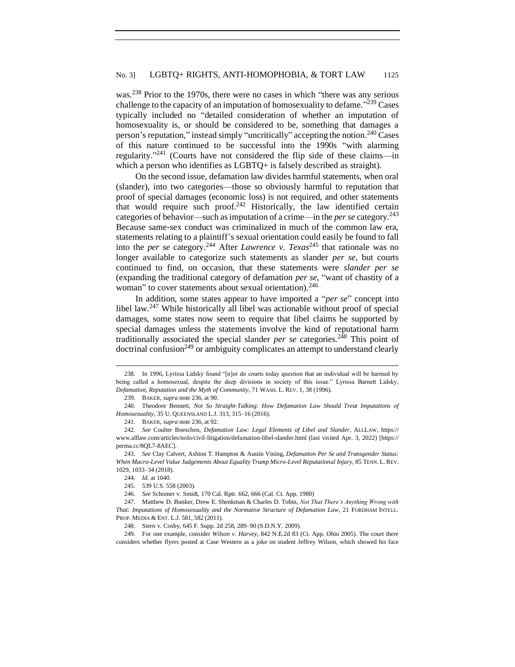was.<sup>238</sup> Prior to the 1970s, there were no cases in which "there was any serious challenge to the capacity of an imputation of homosexuality to defame."<sup>239</sup> Cases typically included no "detailed consideration of whether an imputation of homosexuality is, or should be considered to be, something that damages a person's reputation," instead simply "uncritically" accepting the notion.<sup>240</sup> Cases of this nature continued to be successful into the 1990s "with alarming regularity."<sup>241</sup> (Courts have not considered the flip side of these claims—in which a person who identifies as LGBTQ+ is falsely described as straight).

On the second issue, defamation law divides harmful statements, when oral (slander), into two categories—those so obviously harmful to reputation that proof of special damages (economic loss) is not required, and other statements that would require such proof. $242$  Historically, the law identified certain categories of behavior—such as imputation of a crime—in the *per se* category.<sup>243</sup> Because same-sex conduct was criminalized in much of the common law era, statements relating to a plaintiff's sexual orientation could easily be found to fall into the *per se* category.<sup>244</sup> After *Lawrence v. Texas*<sup>245</sup> that rationale was no longer available to categorize such statements as slander *per se*, but courts continued to find, on occasion, that these statements were *slander per se* (expanding the traditional category of defamation *per se*, "want of chastity of a woman" to cover statements about sexual orientation).<sup>246</sup>

In addition, some states appear to have imported a "*per se*" concept into libel law.<sup>247</sup> While historically all libel was actionable without proof of special damages, some states now seem to require that libel claims be supported by special damages unless the statements involve the kind of reputational harm traditionally associated the special slander *per se* categories.<sup>248</sup> This point of doctrinal confusion<sup>249</sup> or ambiguity complicates an attempt to understand clearly

<sup>238.</sup> In 1996, Lyrissa Lidsky found "[n]or do courts today question that an individual will be harmed by being called a homosexual, despite the deep divisions in society of this issue." Lyrissa Barnett Lidsky, *Defamation, Reputation and the Myth of Community*, 71 WASH. L. REV. 1, 38 (1996).

<sup>239.</sup> BAKER, *supra* note 236, at 90.

<sup>240.</sup> Theodore Bennett, *Not So Straight-Talking: How Defamation Law Should Treat Imputations of Homosexuality*, 35 U. QUEENSLAND L.J. 313, 315–16 (2016).

<sup>241.</sup> BAKER, *supra* note 236, at 92.

<sup>242.</sup> *See* Coulter Boeschen, *Defamation Law: Legal Elements of Libel and Slander*, ALLLAW, https:// www.alllaw.com/articles/nolo/civil-litigation/defamation-libel-slander.html (last visited Apr. 3, 2022) [https:// perma.cc/8QL7-8AEC].

<sup>243.</sup> *See* Clay Calvert, Ashton T. Hampton & Austin Vining, *Defamation Per Se and Transgender Status: When Macro-Level Value Judgements About Equality Trump Micro-Level Reputational Injury*, 85 TENN. L. REV. 1029, 1033–34 (2018).

<sup>244.</sup> *Id.* at 1040.

<sup>245.</sup> 539 U.S. 558 (2003).

<sup>246.</sup> *See* Schomer v. Smidt, 170 Cal. Rptr. 662, 666 (Cal. Ct. App. 1980)

<sup>247.</sup> Matthew D. Bunker, Drew E. Shenkman & Charles D. Tobin, *Not That There's Anything Wrong with That: Imputations of Homosexuality and the Normative Structure of Defamation Law*, 21 FORDHAM INTELL. PROP. MEDIA & ENT. L.J. 581, 582 (2011).

<sup>248.</sup> Stern v. Cosby, 645 F. Supp. 2d 258, 289–90 (S.D.N.Y. 2009).

<sup>249.</sup> For one example, consider *Wilson v. Harvey*, 842 N.E.2d 83 (Ct. App. Ohio 2005). The court there considers whether flyers posted at Case Western as a joke on student Jeffrey Wilson, which showed his face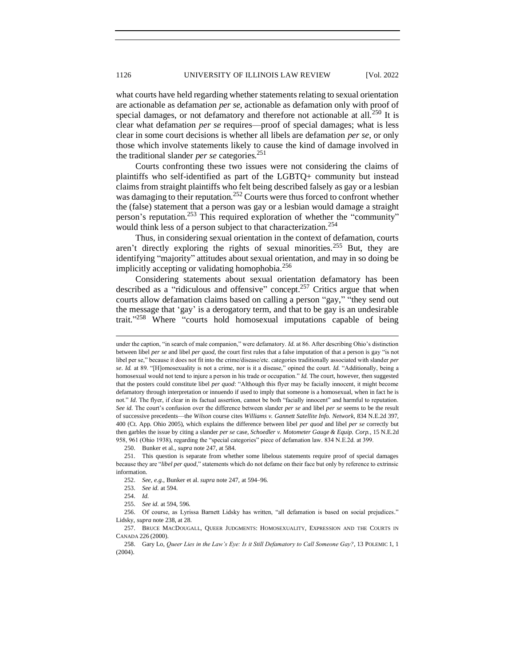what courts have held regarding whether statements relating to sexual orientation are actionable as defamation *per se*, actionable as defamation only with proof of special damages, or not defamatory and therefore not actionable at all.<sup>250</sup> It is clear what defamation *per se* requires—proof of special damages; what is less clear in some court decisions is whether all libels are defamation *per se*, or only those which involve statements likely to cause the kind of damage involved in the traditional slander *per se* categories.<sup>251</sup>

Courts confronting these two issues were not considering the claims of plaintiffs who self-identified as part of the LGBTQ+ community but instead claims from straight plaintiffs who felt being described falsely as gay or a lesbian was damaging to their reputation.<sup>252</sup> Courts were thus forced to confront whether the (false) statement that a person was gay or a lesbian would damage a straight person's reputation.<sup>253</sup> This required exploration of whether the "community" would think less of a person subject to that characterization.<sup>254</sup>

Thus, in considering sexual orientation in the context of defamation, courts aren't directly exploring the rights of sexual minorities.<sup>255</sup> But, they are identifying "majority" attitudes about sexual orientation, and may in so doing be implicitly accepting or validating homophobia.<sup>256</sup>

Considering statements about sexual orientation defamatory has been described as a "ridiculous and offensive" concept.<sup>257</sup> Critics argue that when courts allow defamation claims based on calling a person "gay," "they send out the message that 'gay' is a derogatory term, and that to be gay is an undesirable trait." <sup>258</sup> Where "courts hold homosexual imputations capable of being

250. Bunker et al., *supra* note 247, at 584.

under the caption, "in search of male companion," were defamatory. *Id.* at 86. After describing Ohio's distinction between libel *per se* and libel *per quod*, the court first rules that a false imputation of that a person is gay "is not libel per se," because it does not fit into the crime/disease/etc. categories traditionally associated with slander *per se*. *Id.* at 89. "[H]omosexuality is not a crime, nor is it a disease," opined the court. *Id.* "Additionally, being a homosexual would not tend to injure a person in his trade or occupation." *Id.* The court, however, then suggested that the posters could constitute libel *per quod*: "Although this flyer may be facially innocent, it might become defamatory through interpretation or innuendo if used to imply that someone is a homosexual, when in fact he is not." *Id.* The flyer, if clear in its factual assertion, cannot be both "facially innocent" and harmful to reputation. *See id.* The court's confusion over the difference between slander *per se* and libel *per se* seems to be the result of successive precedents—the *Wilson* course cites *Williams v. Gannett Satellite Info. Network*, 834 N.E.2d 397, 400 (Ct. App. Ohio 2005), which explains the difference between libel *per quod* and libel *per se* correctly but then garbles the issue by citing a slander *per se* case, *Schoedler v. Motometer Gauge & Equip. Corp.*, 15 N.E.2d 958, 961 (Ohio 1938), regarding the "special categories" piece of defamation law. 834 N.E.2d. at 399.

<sup>251.</sup> This question is separate from whether some libelous statements require proof of special damages because they are "*libel per quod*," statements which do not defame on their face but only by reference to extrinsic information.

<sup>252.</sup> *See, e.g.*, Bunker et al. *supra* note 247, at 594–96.

<sup>253.</sup> *See id.* at 594.

<sup>254.</sup> *Id.*

<sup>255.</sup> *See id.* at 594, 596.

<sup>256.</sup> Of course, as Lyrissa Barnett Lidsky has written, "all defamation is based on social prejudices." Lidsky, *supra* note 238, at 28.

<sup>257.</sup> BRUCE MACDOUGALL, QUEER JUDGMENTS: HOMOSEXUALITY, EXPRESSION AND THE COURTS IN CANADA 226 (2000).

<sup>258.</sup> Gary Lo, *Queer Lies in the Law's Eye: Is it Still Defamatory to Call Someone Gay?*, 13 POLEMIC 1, 1 (2004).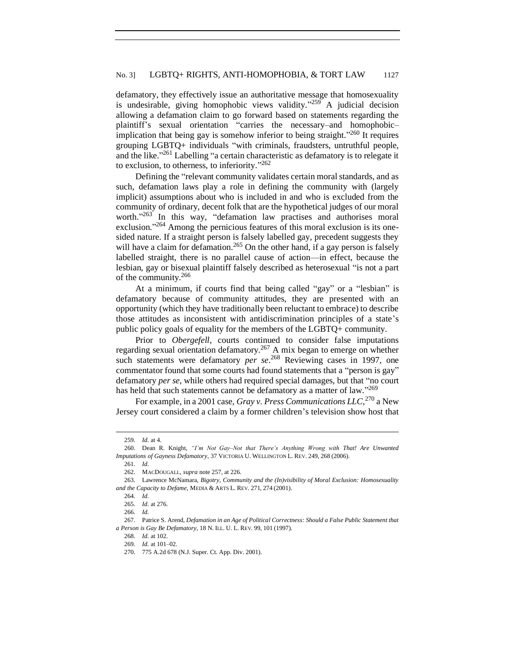defamatory, they effectively issue an authoritative message that homosexuality is undesirable, giving homophobic views validity." $259$  A judicial decision allowing a defamation claim to go forward based on statements regarding the plaintiff's sexual orientation "carries the necessary–and homophobic– implication that being gay is somehow inferior to being straight."<sup>260</sup> It requires grouping LGBTQ+ individuals "with criminals, fraudsters, untruthful people, and the like."<sup>261</sup> Labelling "a certain characteristic as defamatory is to relegate it to exclusion, to otherness, to inferiority." 262

Defining the "relevant community validates certain moral standards, and as such, defamation laws play a role in defining the community with (largely implicit) assumptions about who is included in and who is excluded from the community of ordinary, decent folk that are the hypothetical judges of our moral worth." <sup>263</sup> In this way, "defamation law practises and authorises moral exclusion."<sup>264</sup> Among the pernicious features of this moral exclusion is its onesided nature. If a straight person is falsely labelled gay, precedent suggests they will have a claim for defamation.<sup>265</sup> On the other hand, if a gay person is falsely labelled straight, there is no parallel cause of action—in effect, because the lesbian, gay or bisexual plaintiff falsely described as heterosexual "is not a part of the community.<sup>266</sup>

At a minimum, if courts find that being called "gay" or a "lesbian" is defamatory because of community attitudes, they are presented with an opportunity (which they have traditionally been reluctant to embrace) to describe those attitudes as inconsistent with antidiscrimination principles of a state's public policy goals of equality for the members of the LGBTQ+ community.

Prior to *Obergefell*, courts continued to consider false imputations regarding sexual orientation defamatory.<sup>267</sup> A mix began to emerge on whether such statements were defamatory *per se*.<sup>268</sup> Reviewing cases in 1997, one commentator found that some courts had found statements that a "person is gay" defamatory *per se*, while others had required special damages, but that "no court has held that such statements cannot be defamatory as a matter of law."269

For example, in a 2001 case, *Gray v. Press Communications LLC*, <sup>270</sup> a New Jersey court considered a claim by a former children's television show host that

261*. Id*.

<sup>259</sup>*. Id.* at 4.

<sup>260.</sup> Dean R. Knight, *"I'm Not Gay–Not that There's Anything Wrong with That! Are Unwanted Imputations of Gayness Defamatory*, 37 VICTORIA U. WELLINGTON L. REV. 249, 268 (2006).

<sup>262.</sup> MACDOUGALL, *supra* note 257, at 226.

<sup>263.</sup> Lawrence McNamara, *Bigotry, Community and the (In)visibility of Moral Exclusion: Homosexuality and the Capacity to Defame*, MEDIA & ARTS L. REV. 271, 274 (2001).

<sup>264</sup>*. Id.*

<sup>265.</sup> *Id.* at 276.

<sup>266</sup>*. Id.*

<sup>267.</sup> Patrice S. Arend, *Defamation in an Age of Political Correctness: Should a False Public Statement that a Person is Gay Be Defamatory*, 18 N. ILL. U. L. REV. 99, 101 (1997).

<sup>268.</sup> *Id.* at 102.

<sup>269.</sup> *Id.* at 101–02.

<sup>270.</sup> 775 A.2d 678 (N.J. Super. Ct. App. Div. 2001).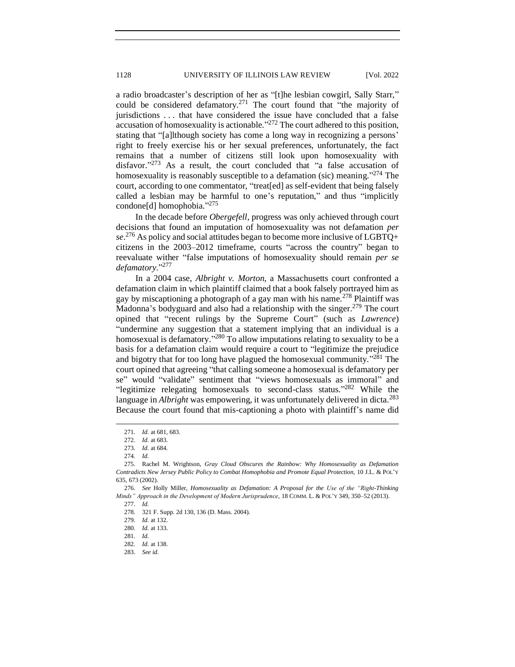a radio broadcaster's description of her as "[t]he lesbian cowgirl, Sally Starr," could be considered defamatory.<sup>271</sup> The court found that "the majority of jurisdictions . . . that have considered the issue have concluded that a false accusation of homosexuality is actionable."<sup>272</sup> The court adhered to this position, stating that "[a]lthough society has come a long way in recognizing a persons' right to freely exercise his or her sexual preferences, unfortunately, the fact remains that a number of citizens still look upon homosexuality with disfavor."<sup>273</sup> As a result, the court concluded that "a false accusation of homosexuality is reasonably susceptible to a defamation (sic) meaning.<sup>3274</sup> The court, according to one commentator, "treat[ed] as self-evident that being falsely called a lesbian may be harmful to one's reputation," and thus "implicitly condone[d] homophobia." 275

In the decade before *Obergefell*, progress was only achieved through court decisions that found an imputation of homosexuality was not defamation *per se*. <sup>276</sup> As policy and social attitudes began to become more inclusive of LGBTQ+ citizens in the 2003–2012 timeframe, courts "across the country" began to reevaluate wither "false imputations of homosexuality should remain *per se defamatory.*" 277

In a 2004 case, *Albright v. Morton,* a Massachusetts court confronted a defamation claim in which plaintiff claimed that a book falsely portrayed him as gay by miscaptioning a photograph of a gay man with his name.<sup>278</sup> Plaintiff was Madonna's bodyguard and also had a relationship with the singer.<sup>279</sup> The court opined that "recent rulings by the Supreme Court" (such as *Lawrence*) "undermine any suggestion that a statement implying that an individual is a homosexual is defamatory."<sup>280</sup> To allow imputations relating to sexuality to be a basis for a defamation claim would require a court to "legitimize the prejudice and bigotry that for too long have plagued the homosexual community.<sup> $281$ </sup> The court opined that agreeing "that calling someone a homosexual is defamatory per se" would "validate" sentiment that "views homosexuals as immoral" and "legitimize relegating homosexuals to second-class status."<sup>282</sup> While the language in *Albright* was empowering, it was unfortunately delivered in dicta.<sup>283</sup> Because the court found that mis-captioning a photo with plaintiff's name did

<sup>271.</sup> *Id.* at 681, 683.

<sup>272.</sup> *Id.* at 683.

<sup>273</sup>*. Id.* at 684.

<sup>274</sup>*. Id.*

<sup>275.</sup> Rachel M. Wrightson, *Gray Cloud Obscures the Rainbow: Why Homosexuality as Defamation Contradicts New Jersey Public Policy to Combat Homophobia and Promote Equal Protection,* 10 J.L. & POL'Y 635, 673 (2002).

<sup>276.</sup> *See* Holly Miller, *Homosexuality as Defamation: A Proposal for the Use of the "Right-Thinking Minds" Approach in the Development of Modern Jurisprudence*, 18 COMM. L. & POL'Y 349, 350–52 (2013).

<sup>277.</sup> *Id.*

<sup>278.</sup> 321 F. Supp. 2d 130, 136 (D. Mass. 2004).

<sup>279</sup>*. Id.* at 132.

<sup>280</sup>*. Id.* at 133.

<sup>281</sup>*. Id.*

<sup>282</sup>*. Id.* at 138.

<sup>283.</sup> *See id.*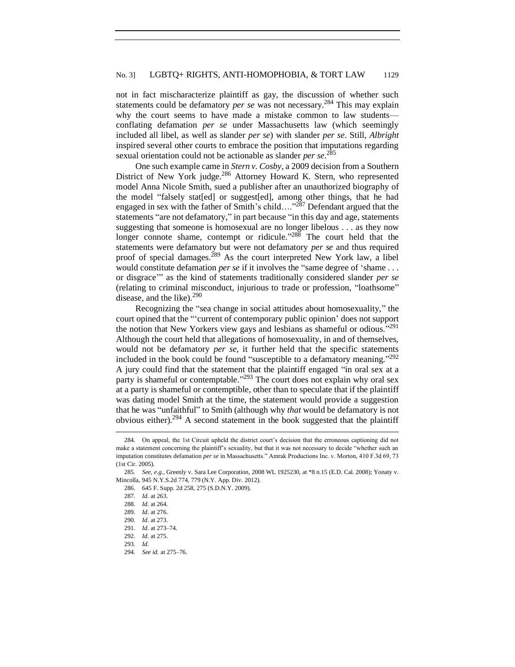### No. 3] LGBTQ+ RIGHTS, ANTI-HOMOPHOBIA, & TORT LAW 1129

not in fact mischaracterize plaintiff as gay, the discussion of whether such statements could be defamatory *per se* was not necessary.<sup>284</sup> This may explain why the court seems to have made a mistake common to law students conflating defamation *per se* under Massachusetts law (which seemingly included all libel, as well as slander *per se*) with slander *per se*. Still, *Albright* inspired several other courts to embrace the position that imputations regarding sexual orientation could not be actionable as slander *per se*. 285

One such example came in *Stern v. Cosby*, a 2009 decision from a Southern District of New York judge.<sup>286</sup> Attorney Howard K. Stern, who represented model Anna Nicole Smith, sued a publisher after an unauthorized biography of the model "falsely stat[ed] or suggest[ed], among other things, that he had engaged in sex with the father of Smith's child...." $287$  Defendant argued that the statements "are not defamatory," in part because "in this day and age, statements suggesting that someone is homosexual are no longer libelous . . . as they now longer connote shame, contempt or ridicule." $288$  The court held that the statements were defamatory but were not defamatory *per se* and thus required proof of special damages.<sup>289</sup> As the court interpreted New York law, a libel would constitute defamation *per se* if it involves the "same degree of 'shame . . . or disgrace'" as the kind of statements traditionally considered slander *per se* (relating to criminal misconduct, injurious to trade or profession, "loathsome" disease, and the like).<sup>290</sup>

Recognizing the "sea change in social attitudes about homosexuality," the court opined that the "'current of contemporary public opinion' does not support the notion that New Yorkers view gays and lesbians as shameful or odious."<sup>291</sup> Although the court held that allegations of homosexuality, in and of themselves, would not be defamatory *per se*, it further held that the specific statements included in the book could be found "susceptible to a defamatory meaning." 292 A jury could find that the statement that the plaintiff engaged "in oral sex at a party is shameful or contemptable."<sup>293</sup> The court does not explain why oral sex at a party is shameful or contemptible, other than to speculate that if the plaintiff was dating model Smith at the time, the statement would provide a suggestion that he was "unfaithful" to Smith (although why *that* would be defamatory is not obvious either).<sup>294</sup> A second statement in the book suggested that the plaintiff

<sup>284.</sup> On appeal, the 1st Circuit upheld the district court's decision that the erroneous captioning did not make a statement concerning the plaintiff's sexuality, but that it was not necessary to decide "whether such an imputation constitutes defamation *per se* in Massachusetts." Amrak Productions Inc. v. Morton, 410 F.3d 69, 73 (1st Cir. 2005).

<sup>285</sup>*. See, e.g.*, Greenly v. Sara Lee Corporation, 2008 WL 1925230, at \*8 n.15 (E.D. Cal. 2008); Yonaty v. Mincolla, 945 N.Y.S.2d 774, 779 (N.Y. App. Div. 2012).

<sup>286.</sup> 645 F. Supp. 2d 258, 275 (S.D.N.Y. 2009).

<sup>287</sup>*. Id.* at 263.

<sup>288</sup>*. Id.* at 264.

<sup>289.</sup> *Id.* at 276.

<sup>290</sup>*. Id.* at 273.

<sup>291</sup>*. Id.* at 273–74.

<sup>292</sup>*. Id.* at 275.

<sup>293</sup>*. Id.*

<sup>294</sup>*. See id.* at 275–76.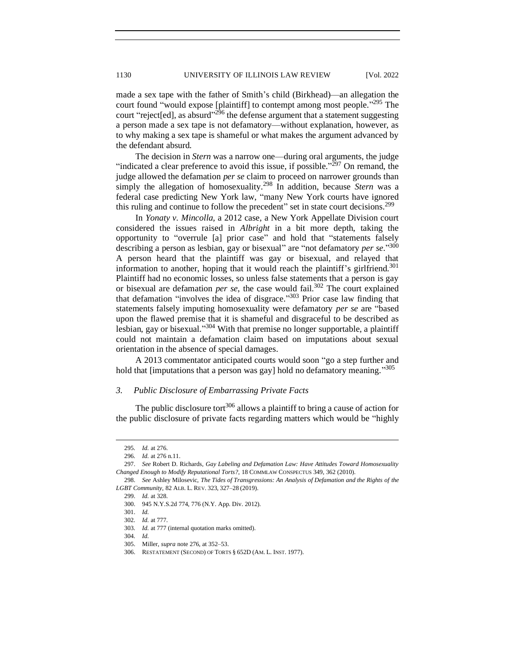made a sex tape with the father of Smith's child (Birkhead)—an allegation the court found "would expose [plaintiff] to contempt among most people."<sup>295</sup> The court "reject[ed], as absurd"<sup>296</sup> the defense argument that a statement suggesting a person made a sex tape is not defamatory—without explanation, however, as to why making a sex tape is shameful or what makes the argument advanced by the defendant absurd.

The decision in *Stern* was a narrow one—during oral arguments, the judge "indicated a clear preference to avoid this issue, if possible."<sup> $297$ </sup> On remand, the judge allowed the defamation *per se* claim to proceed on narrower grounds than simply the allegation of homosexuality.<sup>298</sup> In addition, because *Stern* was a federal case predicting New York law, "many New York courts have ignored this ruling and continue to follow the precedent" set in state court decisions.<sup>299</sup>

In *Yonaty v. Mincolla,* a 2012 case, a New York Appellate Division court considered the issues raised in *Albright* in a bit more depth, taking the opportunity to "overrule [a] prior case" and hold that "statements falsely describing a person as lesbian, gay or bisexual" are "not defamatory *per se*." 300 A person heard that the plaintiff was gay or bisexual, and relayed that information to another, hoping that it would reach the plaintiff's girlfriend.<sup>301</sup> Plaintiff had no economic losses, so unless false statements that a person is gay or bisexual are defamation *per se*, the case would fail.<sup>302</sup> The court explained that defamation "involves the idea of disgrace." <sup>303</sup> Prior case law finding that statements falsely imputing homosexuality were defamatory *per se* are "based upon the flawed premise that it is shameful and disgraceful to be described as lesbian, gay or bisexual."<sup>304</sup> With that premise no longer supportable, a plaintiff could not maintain a defamation claim based on imputations about sexual orientation in the absence of special damages.

A 2013 commentator anticipated courts would soon "go a step further and hold that [imputations that a person was gay] hold no defamatory meaning."305

#### <span id="page-27-0"></span>*3. Public Disclosure of Embarrassing Private Facts*

The public disclosure tort<sup>306</sup> allows a plaintiff to bring a cause of action for the public disclosure of private facts regarding matters which would be "highly

<sup>295</sup>*. Id.* at 276.

<sup>296</sup>*. Id.* at 276 n.11.

<sup>297.</sup> *See* Robert D. Richards, *Gay Labeling and Defamation Law: Have Attitudes Toward Homosexuality Changed Enough to Modify Reputational Torts?*, 18 COMMLAW CONSPECTUS 349, 362 (2010).

<sup>298.</sup> *See* Ashley Milosevic, *The Tides of Transgressions: An Analysis of Defamation and the Rights of the LGBT Community*, 82 ALB. L. REV. 323, 327–28 (2019).

<sup>299.</sup> *Id.* at 328.

<sup>300.</sup> 945 N.Y.S.2d 774, 776 (N.Y. App. Div. 2012).

<sup>301.</sup> *Id.*

<sup>302</sup>*. Id.* at 777.

<sup>303</sup>*. Id.* at 777 (internal quotation marks omitted).

<sup>304</sup>*. Id.*

<sup>305.</sup> Miller, *supra* note 276, at 352–53.

<sup>306.</sup> RESTATEMENT (SECOND) OF TORTS § 652D (AM. L. INST. 1977).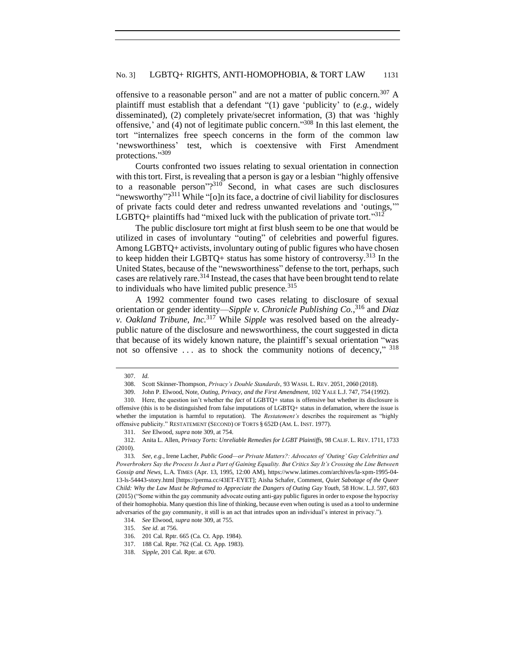offensive to a reasonable person" and are not a matter of public concern.<sup>307</sup> A plaintiff must establish that a defendant "(1) gave 'publicity' to (*e.g.*, widely disseminated), (2) completely private/secret information, (3) that was 'highly offensive,' and (4) not of legitimate public concern." <sup>308</sup> In this last element, the tort "internalizes free speech concerns in the form of the common law 'newsworthiness' test, which is coextensive with First Amendment protections." 309

Courts confronted two issues relating to sexual orientation in connection with this tort. First, is revealing that a person is gay or a lesbian "highly offensive to a reasonable person"? <sup>310</sup> Second, in what cases are such disclosures "newsworthy"?<sup>311</sup> While "[o]n its face, a doctrine of civil liability for disclosures of private facts could deter and redress unwanted revelations and 'outings,'" LGBTQ+ plaintiffs had "mixed luck with the publication of private tort."  $312$ 

The public disclosure tort might at first blush seem to be one that would be utilized in cases of involuntary "outing" of celebrities and powerful figures. Among LGBTQ+ activists, involuntary outing of public figures who have chosen to keep hidden their LGBTQ+ status has some history of controversy.<sup>313</sup> In the United States, because of the "newsworthiness" defense to the tort, perhaps, such cases are relatively rare.<sup>314</sup> Instead, the cases that have been brought tend to relate to individuals who have limited public presence.  $315$ 

A 1992 commenter found two cases relating to disclosure of sexual orientation or gender identity—*Sipple v. Chronicle Publishing Co.*, <sup>316</sup> and *Diaz v. Oakland Tribune, Inc.*<sup>317</sup> While *Sipple* was resolved based on the alreadypublic nature of the disclosure and newsworthiness, the court suggested in dicta that because of its widely known nature, the plaintiff's sexual orientation "was not so offensive ... as to shock the community notions of decency," 318

<sup>307.</sup> *Id.*

<sup>308.</sup> Scott Skinner-Thompson, *Privacy's Double Standards*, 93 WASH. L. REV. 2051, 2060 (2018).

<sup>309.</sup> John P. Elwood, Note, *Outing, Privacy, and the First Amendment*, 102 YALE L.J. 747, 754 (1992).

<sup>310.</sup> Here, the question isn't whether the *fact* of LGBTQ+ status is offensive but whether its disclosure is offensive (this is to be distinguished from false imputations of LGBTQ+ status in defamation, where the issue is whether the imputation is harmful to reputation). The *Restatement's* describes the requirement as "highly offensive publicity." RESTATEMENT (SECOND) OF TORTS § 652D (AM. L. INST. 1977).

<sup>311.</sup> *See* Elwood, *supra* note 309, at 754.

<sup>312.</sup> Anita L. Allen, *Privacy Torts: Unreliable Remedies for LGBT Plaintiffs*, 98 CALIF. L. REV. 1711, 1733 (2010).

<sup>313</sup>*. See, e.g.*, Irene Lacher, *Public Good—or Private Matters?: Advocates of 'Outing' Gay Celebrities and Powerbrokers Say the Process Is Just a Part of Gaining Equality. But Critics Say It's Crossing the Line Between Gossip and News*, L.A. TIMES (Apr. 13, 1995, 12:00 AM), https://www.latimes.com/archives/la-xpm-1995-04- 13-ls-54443-story.html [https://perma.cc/43ET-EYET]; Aisha Schafer, Comment, *Quiet Sabotage of the Queer Child: Why the Law Must be Reframed to Appreciate the Dangers of Outing Gay Youth,* 58 HOW. L.J. 597, 603 (2015) ("Some within the gay community advocate outing anti-gay public figures in order to expose the hypocrisy of their homophobia. Many question this line of thinking, because even when outing is used as a tool to undermine adversaries of the gay community, it still is an act that intrudes upon an individual's interest in privacy.").

<sup>314.</sup> *See* Elwood, *supra* note 309, at 755.

<sup>315.</sup> *See id.* at 756.

<sup>316.</sup> 201 Cal. Rptr. 665 (Ca. Ct. App. 1984).

<sup>317.</sup> 188 Cal. Rptr. 762 (Cal. Ct. App. 1983).

<sup>318.</sup> *Sipple*, 201 Cal. Rptr. at 670.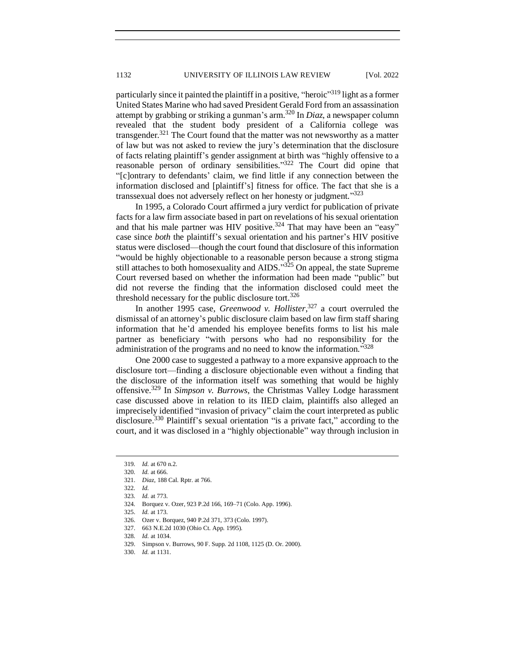particularly since it painted the plaintiff in a positive, "heroic"<sup>319</sup> light as a former United States Marine who had saved President Gerald Ford from an assassination attempt by grabbing or striking a gunman's arm.<sup>320</sup> In *Diaz*, a newspaper column revealed that the student body president of a California college was transgender.<sup>321</sup> The Court found that the matter was not newsworthy as a matter of law but was not asked to review the jury's determination that the disclosure of facts relating plaintiff's gender assignment at birth was "highly offensive to a reasonable person of ordinary sensibilities."<sup>322</sup> The Court did opine that "[c]ontrary to defendants' claim, we find little if any connection between the information disclosed and [plaintiff's] fitness for office. The fact that she is a transsexual does not adversely reflect on her honesty or judgment." 323

In 1995, a Colorado Court affirmed a jury verdict for publication of private facts for a law firm associate based in part on revelations of his sexual orientation and that his male partner was HIV positive.<sup>324</sup> That may have been an "easy" case since *both* the plaintiff's sexual orientation and his partner's HIV positive status were disclosed—though the court found that disclosure of this information "would be highly objectionable to a reasonable person because a strong stigma still attaches to both homosexuality and AIDS." $325$  On appeal, the state Supreme Court reversed based on whether the information had been made "public" but did not reverse the finding that the information disclosed could meet the threshold necessary for the public disclosure tort.<sup>326</sup>

In another 1995 case, *Greenwood v. Hollister*, <sup>327</sup> a court overruled the dismissal of an attorney's public disclosure claim based on law firm staff sharing information that he'd amended his employee benefits forms to list his male partner as beneficiary "with persons who had no responsibility for the administration of the programs and no need to know the information."328

One 2000 case to suggested a pathway to a more expansive approach to the disclosure tort—finding a disclosure objectionable even without a finding that the disclosure of the information itself was something that would be highly offensive.<sup>329</sup> In *Simpson v. Burrows*, the Christmas Valley Lodge harassment case discussed above in relation to its IIED claim, plaintiffs also alleged an imprecisely identified "invasion of privacy" claim the court interpreted as public disclosure.<sup>330</sup> Plaintiff's sexual orientation "is a private fact," according to the court, and it was disclosed in a "highly objectionable" way through inclusion in

<sup>319</sup>*. Id.* at 670 n.2.

<sup>320</sup>*. Id.* at 666.

<sup>321.</sup> *Diaz*, 188 Cal. Rptr. at 766.

<sup>322</sup>*. Id.*

<sup>323</sup>*. Id.* at 773.

<sup>324</sup>*.* Borquez v. Ozer, 923 P.2d 166, 169–71 (Colo. App. 1996).

<sup>325.</sup> *Id.* at 173.

<sup>326.</sup> Ozer v. Borquez, 940 P.2d 371, 373 (Colo. 1997).

<sup>327.</sup> 663 N.E.2d 1030 (Ohio Ct. App. 1995).

<sup>328</sup>*. Id.* at 1034.

<sup>329.</sup> Simpson v. Burrows, 90 F. Supp. 2d 1108, 1125 (D. Or. 2000).

<sup>330.</sup> *Id.* at 1131.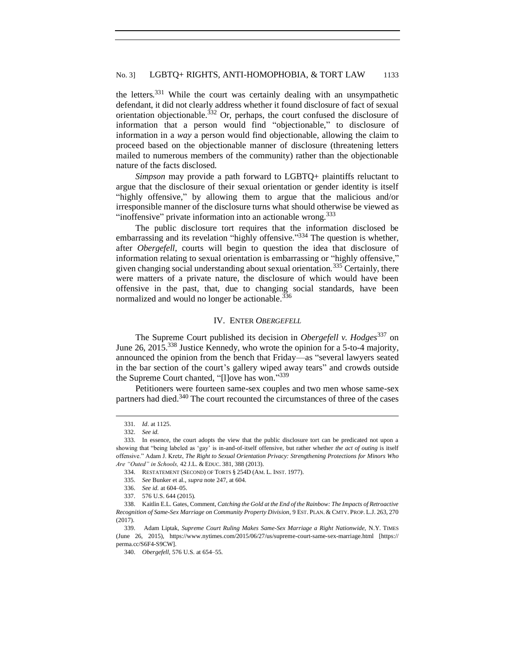the letters.<sup>331</sup> While the court was certainly dealing with an unsympathetic defendant, it did not clearly address whether it found disclosure of fact of sexual orientation objectionable.<sup>332</sup> Or, perhaps, the court confused the disclosure of information that a person would find "objectionable," to disclosure of information in a *way* a person would find objectionable, allowing the claim to proceed based on the objectionable manner of disclosure (threatening letters mailed to numerous members of the community) rather than the objectionable nature of the facts disclosed.

*Simpson* may provide a path forward to LGBTQ+ plaintiffs reluctant to argue that the disclosure of their sexual orientation or gender identity is itself "highly offensive," by allowing them to argue that the malicious and/or irresponsible manner of the disclosure turns what should otherwise be viewed as "inoffensive" private information into an actionable wrong.<sup>333</sup>

The public disclosure tort requires that the information disclosed be embarrassing and its revelation "highly offensive."<sup>334</sup> The question is whether, after *Obergefell*, courts will begin to question the idea that disclosure of information relating to sexual orientation is embarrassing or "highly offensive," given changing social understanding about sexual orientation.<sup>335</sup> Certainly, there were matters of a private nature, the disclosure of which would have been offensive in the past, that, due to changing social standards, have been normalized and would no longer be actionable.<sup>336</sup>

## IV. ENTER *OBERGEFELL*

<span id="page-30-0"></span>The Supreme Court published its decision in *Obergefell v. Hodges*<sup>337</sup> on June 26, 2015.<sup>338</sup> Justice Kennedy, who wrote the opinion for a 5-to-4 majority, announced the opinion from the bench that Friday—as "several lawyers seated in the bar section of the court's gallery wiped away tears" and crowds outside the Supreme Court chanted, "[I]ove has won."339

Petitioners were fourteen same-sex couples and two men whose same-sex partners had died.<sup>340</sup> The court recounted the circumstances of three of the cases

<sup>331</sup>*. Id*. at 1125.

<sup>332.</sup> *See id.*

<sup>333.</sup> In essence, the court adopts the view that the public disclosure tort can be predicated not upon a showing that "being labeled as 'gay' is in-and-of-itself offensive, but rather whether *the act of outing* is itself offensive." Adam J. Kretz, *The Right to Sexual Orientation Privacy: Strengthening Protections for Minors Who Are "Outed" in Schools,* 42 J.L. & EDUC. 381, 388 (2013).

<sup>334.</sup> RESTATEMENT (SECOND) OF TORTS § 254D (AM. L. INST. 1977).

<sup>335.</sup> *See* Bunker et al., *supra* note 247, at 604.

<sup>336.</sup> *See id.* at 604–05.

<sup>337.</sup> 576 U.S. 644 (2015).

<sup>338.</sup> Kaitlin E.L. Gates, Comment, *Catching the Gold at the End of the Rainbow: The Impacts of Retroactive Recognition of Same-Sex Marriage on Community Property Division*, 9 EST. PLAN. & CMTY. PROP. L.J. 263, 270 (2017).

<sup>339.</sup> Adam Liptak, *Supreme Court Ruling Makes Same-Sex Marriage a Right Nationwide,* N.Y. TIMES (June 26, 2015), https://www.nytimes.com/2015/06/27/us/supreme-court-same-sex-marriage.html [https:// perma.cc/S6F4-S9CW].

<sup>340.</sup> *Obergefell*, 576 U.S. at 654–55.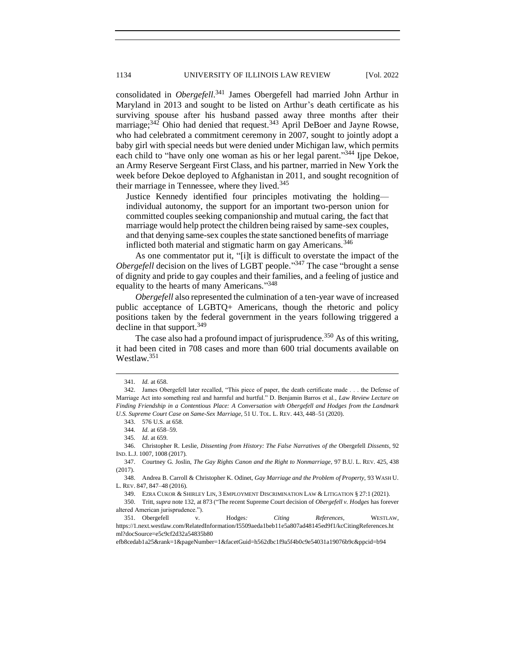consolidated in *Obergefell*. <sup>341</sup> James Obergefell had married John Arthur in Maryland in 2013 and sought to be listed on Arthur's death certificate as his surviving spouse after his husband passed away three months after their marriage;<sup>342</sup> Ohio had denied that request.<sup>343</sup> April DeBoer and Jayne Rowse, who had celebrated a commitment ceremony in 2007, sought to jointly adopt a baby girl with special needs but were denied under Michigan law, which permits each child to "have only one woman as his or her legal parent."<sup>344</sup> Ijpe Dekoe, an Army Reserve Sergeant First Class, and his partner, married in New York the week before Dekoe deployed to Afghanistan in 2011, and sought recognition of their marriage in Tennessee, where they lived. $345$ 

Justice Kennedy identified four principles motivating the holding individual autonomy, the support for an important two-person union for committed couples seeking companionship and mutual caring, the fact that marriage would help protect the children being raised by same-sex couples, and that denying same-sex couples the state sanctioned benefits of marriage inflicted both material and stigmatic harm on gay Americans.<sup>346</sup>

As one commentator put it, "[i]t is difficult to overstate the impact of the *Obergefell* decision on the lives of LGBT people."<sup>347</sup> The case "brought a sense of dignity and pride to gay couples and their families, and a feeling of justice and equality to the hearts of many Americans."<sup>348</sup>

*Obergefell* also represented the culmination of a ten-year wave of increased public acceptance of LGBTQ+ Americans, though the rhetoric and policy positions taken by the federal government in the years following triggered a decline in that support.<sup>349</sup>

The case also had a profound impact of jurisprudence.<sup>350</sup> As of this writing, it had been cited in 708 cases and more than 600 trial documents available on Westlaw.<sup>351</sup>

349. EZRA CUKOR & SHIRLEY LIN, 3 EMPLOYMENT DISCRIMINATION LAW & LITIGATION § 27:1 (2021).

efb8cedab1a25&rank=1&pageNumber=1&facetGuid=h562dbc1f9a5f4b0c9e54031a19076b9c&ppcid=b94

<sup>341</sup>*. Id.* at 658.

<sup>342.</sup> James Obergefell later recalled, "This piece of paper, the death certificate made . . . the Defense of Marriage Act into something real and harmful and hurtful." D. Benjamin Barros et al., *Law Review Lecture on Finding Friendship in a Contentious Place: A Conversation with Obergefell and Hodges from the Landmark U.S. Supreme Court Case on Same-Sex Marriage*, 51 U. TOL. L. REV. 443, 448–51 (2020).

<sup>343.</sup> 576 U.S. at 658.

<sup>344</sup>*. Id.* at 658–59.

<sup>345</sup>*. Id*. at 659.

<sup>346.</sup> Christopher R. Leslie, *Dissenting from History: The False Narratives of the* Obergefell *Dissents*, 92 IND. L.J. 1007, 1008 (2017).

<sup>347.</sup> Courtney G. Joslin, *The Gay Rights Canon and the Right to Nonmarriage*, 97 B.U. L. REV. 425, 438 (2017).

<sup>348.</sup> Andrea B. Carroll & Christopher K. Odinet, *Gay Marriage and the Problem of Property*, 93 WASH U. L. REV. 847, 847–48 (2016).

<sup>350.</sup> Tritt, *supra* note 132, at 873 ("The recent Supreme Court decision of *Obergefell v. Hodges* has forever altered American jurisprudence.").

<sup>351.</sup> Obergefell v. Hodges*: Citing References*, WESTLAW, https://1.next.westlaw.com/RelatedInformation/I5509aeda1beb11e5a807ad48145ed9f1/kcCitingReferences.ht ml?docSource=e5c9cf2d32a54835b80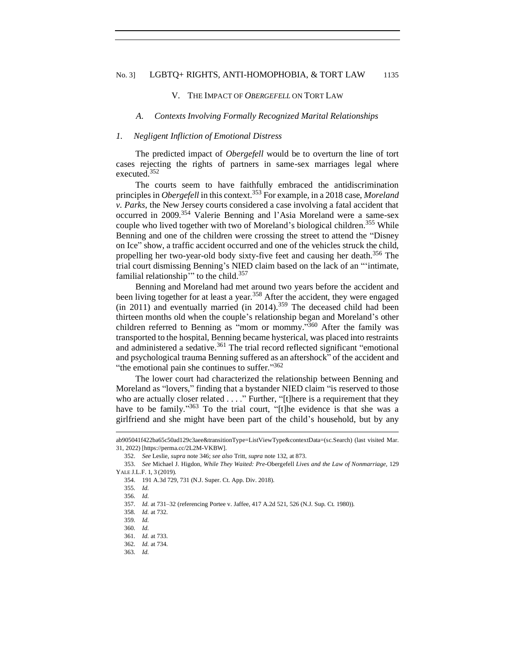#### <span id="page-32-0"></span>No. 3] LGBTQ+ RIGHTS, ANTI-HOMOPHOBIA, & TORT LAW 1135

#### V. THE IMPACT OF *OBERGEFELL* ON TORT LAW

#### <span id="page-32-1"></span>*A. Contexts Involving Formally Recognized Marital Relationships*

#### <span id="page-32-2"></span>*1. Negligent Infliction of Emotional Distress*

The predicted impact of *Obergefell* would be to overturn the line of tort cases rejecting the rights of partners in same-sex marriages legal where executed.<sup>352</sup>

The courts seem to have faithfully embraced the antidiscrimination principles in *Obergefell* in this context.<sup>353</sup> For example, in a 2018 case, *Moreland v. Parks*, the New Jersey courts considered a case involving a fatal accident that occurred in 2009.<sup>354</sup> Valerie Benning and l'Asia Moreland were a same-sex couple who lived together with two of Moreland's biological children.<sup>355</sup> While Benning and one of the children were crossing the street to attend the "Disney on Ice" show, a traffic accident occurred and one of the vehicles struck the child, propelling her two-year-old body sixty-five feet and causing her death.<sup>356</sup> The trial court dismissing Benning's NIED claim based on the lack of an "'intimate, familial relationship" to the child.<sup>357</sup>

Benning and Moreland had met around two years before the accident and been living together for at least a year.<sup>358</sup> After the accident, they were engaged  $(in 2011)$  and eventually married  $(in 2014)$ .<sup>359</sup> The deceased child had been thirteen months old when the couple's relationship began and Moreland's other children referred to Benning as "mom or mommy."<sup>360</sup> After the family was transported to the hospital, Benning became hysterical, was placed into restraints and administered a sedative.<sup>361</sup> The trial record reflected significant "emotional and psychological trauma Benning suffered as an aftershock" of the accident and "the emotional pain she continues to suffer."362

The lower court had characterized the relationship between Benning and Moreland as "lovers," finding that a bystander NIED claim "is reserved to those who are actually closer related . . . ." Further, "[t]here is a requirement that they have to be family."<sup>363</sup> To the trial court, "[t]he evidence is that she was a girlfriend and she might have been part of the child's household, but by any

ab905041f422ba65c50ad129c3aee&transitionType=ListViewType&contextData=(sc.Search) (last visited Mar. 31, 2022) [https://perma.cc/2L2M-VKBW].

<sup>352.</sup> *See* Leslie, *supra* note 346; *see also* Tritt, *supra* note 132, at 873.

<sup>353.</sup> *See* Michael J. Higdon, *While They Waited: Pre-*Obergefell *Lives and the Law of Nonmarriage*, 129 YALE J.L.F. 1, 3 (2019).

<sup>354.</sup> 191 A.3d 729, 731 (N.J. Super. Ct. App. Div. 2018).

<sup>355</sup>*. Id.*

<sup>356</sup>*. Id.*

<sup>357</sup>*. Id.* at 731–32 (referencing Portee v. Jaffee, 417 A.2d 521, 526 (N.J. Sup. Ct. 1980)).

<sup>358</sup>*. Id.* at 732.

<sup>359</sup>*. Id.*

<sup>360</sup>*. Id.*

<sup>361</sup>*. Id.* at 733.

<sup>362</sup>*. Id.* at 734.

<sup>363</sup>*. Id.*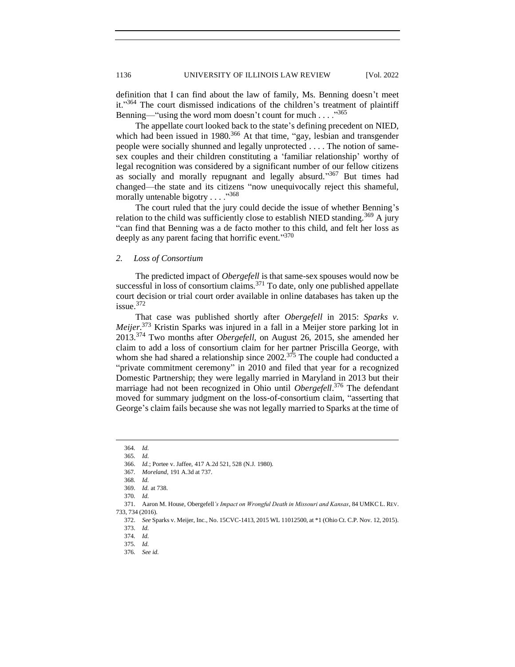definition that I can find about the law of family, Ms. Benning doesn't meet it."364 The court dismissed indications of the children's treatment of plaintiff Benning—"using the word mom doesn't count for much . . . . " $365$ "

The appellate court looked back to the state's defining precedent on NIED, which had been issued in 1980.<sup>366</sup> At that time, "gay, lesbian and transgender people were socially shunned and legally unprotected . . . . The notion of samesex couples and their children constituting a 'familiar relationship' worthy of legal recognition was considered by a significant number of our fellow citizens as socially and morally repugnant and legally absurd."367 But times had changed—the state and its citizens "now unequivocally reject this shameful, morally untenable bigotry . . . . "368"

The court ruled that the jury could decide the issue of whether Benning's relation to the child was sufficiently close to establish NIED standing.<sup>369</sup> A jury "can find that Benning was a de facto mother to this child, and felt her loss as deeply as any parent facing that horrific event."370

## <span id="page-33-0"></span>*2. Loss of Consortium*

The predicted impact of *Obergefell* is that same-sex spouses would now be successful in loss of consortium claims.<sup>371</sup> To date, only one published appellate court decision or trial court order available in online databases has taken up the issue.<sup>372</sup>

That case was published shortly after *Obergefell* in 2015: *Sparks v. Meijer*. <sup>373</sup> Kristin Sparks was injured in a fall in a Meijer store parking lot in 2013.<sup>374</sup> Two months after *Obergefell,* on August 26, 2015, she amended her claim to add a loss of consortium claim for her partner Priscilla George, with whom she had shared a relationship since  $2002$ .<sup>375</sup> The couple had conducted a "private commitment ceremony" in 2010 and filed that year for a recognized Domestic Partnership; they were legally married in Maryland in 2013 but their marriage had not been recognized in Ohio until *Obergefell*. <sup>376</sup> The defendant moved for summary judgment on the loss-of-consortium claim, "asserting that George's claim fails because she was not legally married to Sparks at the time of

<sup>364</sup>*. Id.*

<sup>365</sup>*. Id.*

<sup>366.</sup> *Id.*; Portee v. Jaffee, 417 A.2d 521, 528 (N.J. 1980).

<sup>367</sup>*. Moreland*, 191 A.3d at 737.

<sup>368</sup>*. Id.*

<sup>369.</sup> *Id.* at 738. 370*. Id.*

<sup>371.</sup> Aaron M. House, Obergefell*'s Impact on Wrongful Death in Missouri and Kansas*, 84 UMKC L. REV. 733, 734 (2016).

<sup>372.</sup> *See* Sparks v. Meijer, Inc., No. 15CVC-1413, 2015 WL 11012500, at \*1 (Ohio Ct. C.P. Nov. 12, 2015).

<sup>373.</sup> *Id.*

<sup>374</sup>*. Id.* 375*. Id.*

<sup>376</sup>*. See id.*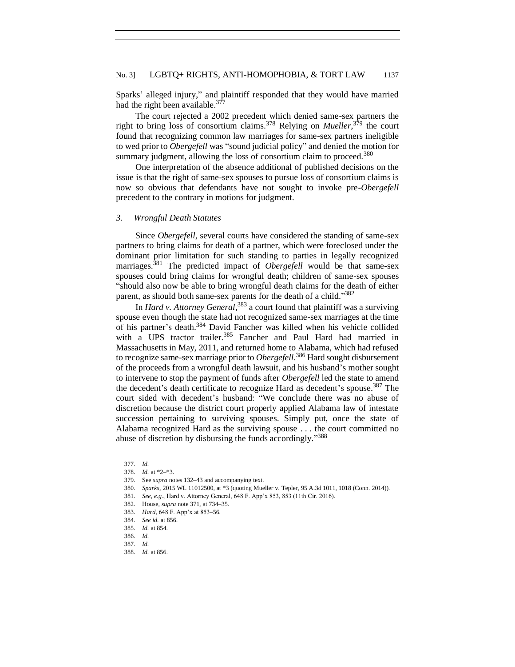Sparks' alleged injury," and plaintiff responded that they would have married had the right been available. $37$ 

The court rejected a 2002 precedent which denied same-sex partners the right to bring loss of consortium claims.<sup>378</sup> Relying on *Mueller*, <sup>379</sup> the court found that recognizing common law marriages for same-sex partners ineligible to wed prior to *Obergefell* was "sound judicial policy" and denied the motion for summary judgment, allowing the loss of consortium claim to proceed.<sup>380</sup>

One interpretation of the absence additional of published decisions on the issue is that the right of same-sex spouses to pursue loss of consortium claims is now so obvious that defendants have not sought to invoke pre-*Obergefell* precedent to the contrary in motions for judgment.

#### <span id="page-34-0"></span>*3. Wrongful Death Statutes*

Since *Obergefell*, several courts have considered the standing of same-sex partners to bring claims for death of a partner, which were foreclosed under the dominant prior limitation for such standing to parties in legally recognized marriages.<sup>381</sup> The predicted impact of *Obergefell* would be that same-sex spouses could bring claims for wrongful death; children of same-sex spouses "should also now be able to bring wrongful death claims for the death of either parent, as should both same-sex parents for the death of a child."382

In *Hard v. Attorney General*, <sup>383</sup> a court found that plaintiff was a surviving spouse even though the state had not recognized same-sex marriages at the time of his partner's death.<sup>384</sup> David Fancher was killed when his vehicle collided with a UPS tractor trailer.<sup>385</sup> Fancher and Paul Hard had married in Massachusetts in May, 2011, and returned home to Alabama, which had refused to recognize same-sex marriage prior to *Obergefell*. <sup>386</sup> Hard sought disbursement of the proceeds from a wrongful death lawsuit, and his husband's mother sought to intervene to stop the payment of funds after *Obergefell* led the state to amend the decedent's death certificate to recognize Hard as decedent's spouse.<sup>387</sup> The court sided with decedent's husband: "We conclude there was no abuse of discretion because the district court properly applied Alabama law of intestate succession pertaining to surviving spouses. Simply put, once the state of Alabama recognized Hard as the surviving spouse . . . the court committed no abuse of discretion by disbursing the funds accordingly."388

<sup>377</sup>*. Id.*

<sup>378</sup>*. Id.* at \*2–\*3.

<sup>379.</sup> See *supra* notes 132–43 and accompanying text.

<sup>380.</sup> *Sparks*, 2015 WL 11012500, at \*3 (quoting Mueller v. Tepler, 95 A.3d 1011, 1018 (Conn. 2014)).

<sup>381.</sup> *See, e.g.*, Hard v. Attorney General, 648 F. App'x 853, 853 (11th Cir. 2016).

<sup>382.</sup> House, *supra* note 371, at 734–35.

<sup>383.</sup> *Hard*, 648 F. App'x at 853–56.

<sup>384.</sup> *See id.* at 856.

<sup>385</sup>*. Id.* at 854.

<sup>386</sup>*. Id.*

<sup>387</sup>*. Id.*

<sup>388</sup>*. Id.* at 856.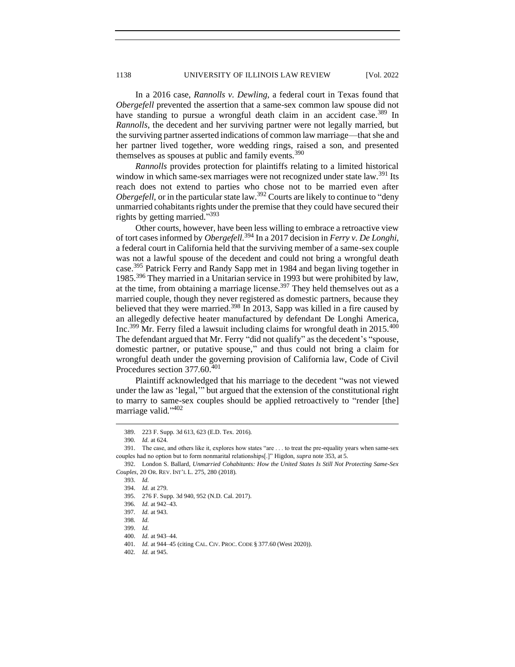In a 2016 case, *Rannolls v. Dewling*, a federal court in Texas found that *Obergefell* prevented the assertion that a same-sex common law spouse did not have standing to pursue a wrongful death claim in an accident case.<sup>389</sup> In *Rannolls*, the decedent and her surviving partner were not legally married, but the surviving partner asserted indications of common law marriage—that she and her partner lived together, wore wedding rings, raised a son, and presented themselves as spouses at public and family events.<sup>390</sup>

*Rannolls* provides protection for plaintiffs relating to a limited historical window in which same-sex marriages were not recognized under state law.<sup>391</sup> Its reach does not extend to parties who chose not to be married even after *Obergefell*, or in the particular state law.<sup>392</sup> Courts are likely to continue to "deny" unmarried cohabitants rights under the premise that they could have secured their rights by getting married." 393

Other courts, however, have been less willing to embrace a retroactive view of tort cases informed by *Obergefell.*<sup>394</sup> In a 2017 decision in *Ferry v. De Longhi*, a federal court in California held that the surviving member of a same-sex couple was not a lawful spouse of the decedent and could not bring a wrongful death case.<sup>395</sup> Patrick Ferry and Randy Sapp met in 1984 and began living together in 1985.<sup>396</sup> They married in a Unitarian service in 1993 but were prohibited by law, at the time, from obtaining a marriage license.<sup>397</sup> They held themselves out as a married couple, though they never registered as domestic partners, because they believed that they were married.<sup>398</sup> In 2013, Sapp was killed in a fire caused by an allegedly defective heater manufactured by defendant De Longhi America, Inc.<sup>399</sup> Mr. Ferry filed a lawsuit including claims for wrongful death in 2015.<sup>400</sup> The defendant argued that Mr. Ferry "did not qualify" as the decedent's "spouse, domestic partner, or putative spouse," and thus could not bring a claim for wrongful death under the governing provision of California law, Code of Civil Procedures section 377.60.<sup>401</sup>

Plaintiff acknowledged that his marriage to the decedent "was not viewed under the law as 'legal,'" but argued that the extension of the constitutional right to marry to same-sex couples should be applied retroactively to "render [the] marriage valid."<sup>402</sup>

<sup>389.</sup> 223 F. Supp. 3d 613, 623 (E.D. Tex. 2016).

<sup>390</sup>*. Id.* at 624.

<sup>391.</sup> The case, and others like it, explores how states "are . . . to treat the pre-equality years when same-sex couples had no option but to form nonmarital relationships[.]" Higdon, *supra* note 353, at 5.

<sup>392.</sup> London S. Ballard, *Unmarried Cohabitants: How the United States Is Still Not Protecting Same-Sex Couples*, 20 OR. REV. INT'L L. 275, 280 (2018).

<sup>393.</sup> *Id.*

<sup>394.</sup> *Id.* at 279.

<sup>395.</sup> 276 F. Supp. 3d 940, 952 (N.D. Cal. 2017).

<sup>396</sup>*. Id.* at 942–43.

<sup>397</sup>*. Id.* at 943.

<sup>398</sup>*. Id.*

<sup>399.</sup> *Id.*

<sup>400.</sup> *Id.* at 943–44.

<sup>401</sup>*. Id.* at 944–45 (citing CAL. CIV. PROC. CODE § 377.60 (West 2020)).

<sup>402</sup>*. Id.* at 945.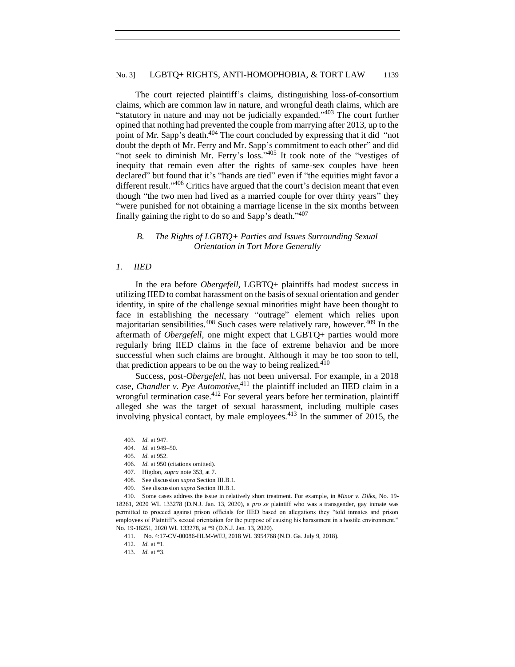The court rejected plaintiff's claims, distinguishing loss-of-consortium claims, which are common law in nature, and wrongful death claims, which are "statutory in nature and may not be judicially expanded."<sup>403</sup> The court further opined that nothing had prevented the couple from marrying after 2013, up to the point of Mr. Sapp's death.<sup>404</sup> The court concluded by expressing that it did "not doubt the depth of Mr. Ferry and Mr. Sapp's commitment to each other" and did "not seek to diminish Mr. Ferry's loss."<sup>405</sup> It took note of the "vestiges of inequity that remain even after the rights of same-sex couples have been declared" but found that it's "hands are tied" even if "the equities might favor a different result."<sup>406</sup> Critics have argued that the court's decision meant that even though "the two men had lived as a married couple for over thirty years" they "were punished for not obtaining a marriage license in the six months between finally gaining the right to do so and Sapp's death."<sup>407</sup>

# <span id="page-36-0"></span>*B. The Rights of LGBTQ+ Parties and Issues Surrounding Sexual Orientation in Tort More Generally*

#### <span id="page-36-1"></span>*1. IIED*

In the era before *Obergefell*, LGBTQ+ plaintiffs had modest success in utilizing IIED to combat harassment on the basis of sexual orientation and gender identity, in spite of the challenge sexual minorities might have been thought to face in establishing the necessary "outrage" element which relies upon majoritarian sensibilities.<sup>408</sup> Such cases were relatively rare, however.<sup>409</sup> In the aftermath of *Obergefell*, one might expect that LGBTQ+ parties would more regularly bring IIED claims in the face of extreme behavior and be more successful when such claims are brought. Although it may be too soon to tell, that prediction appears to be on the way to being realized. $410$ 

Success, post-*Obergefell*, has not been universal. For example, in a 2018 case, *Chandler v. Pye Automotive*, <sup>411</sup> the plaintiff included an IIED claim in a wrongful termination case.<sup>412</sup> For several years before her termination, plaintiff alleged she was the target of sexual harassment, including multiple cases involving physical contact, by male employees. $413$  In the summer of 2015, the

<sup>403</sup>*. Id.* at 947.

<sup>404.</sup> *Id.* at 949–50.

<sup>405</sup>*. Id.* at 952.

<sup>406</sup>*. Id.* at 950 (citations omitted).

<sup>407.</sup> Higdon, *supra* note 353, at 7.

<sup>408.</sup> See discussion *supra* Section III.B.1.

<sup>409.</sup> See discussion *supra* Section III.B.1.

<sup>410.</sup> Some cases address the issue in relatively short treatment. For example, in *Minor v. Dilks*, No. 19- 18261, 2020 WL 133278 (D.N.J. Jan. 13, 2020), a *pro se* plaintiff who was a transgender, gay inmate was permitted to proceed against prison officials for IIED based on allegations they "told inmates and prison employees of Plaintiff's sexual orientation for the purpose of causing his harassment in a hostile environment." No. 19-18251, 2020 WL 133278, at \*9 (D.N.J. Jan. 13, 2020).

<sup>411.</sup> No. 4:17-CV-00086-HLM-WEJ, 2018 WL 3954768 (N.D. Ga. July 9, 2018).

<sup>412.</sup> *Id.* at \*1.

<sup>413</sup>*. Id.* at \*3.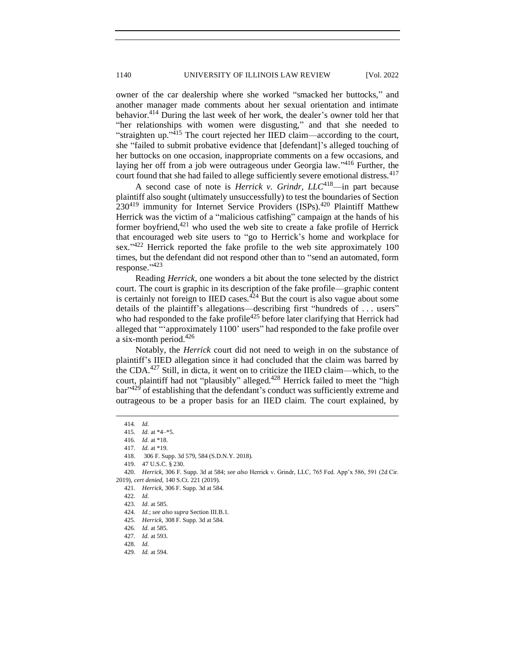owner of the car dealership where she worked "smacked her buttocks," and another manager made comments about her sexual orientation and intimate behavior.<sup>414</sup> During the last week of her work, the dealer's owner told her that "her relationships with women were disgusting," and that she needed to "straighten up."<sup>415</sup> The court rejected her IIED claim—according to the court, she "failed to submit probative evidence that [defendant]'s alleged touching of her buttocks on one occasion, inappropriate comments on a few occasions, and laying her off from a job were outrageous under Georgia law." <sup>416</sup> Further, the court found that she had failed to allege sufficiently severe emotional distress.<sup>417</sup>

A second case of note is *Herrick v. Grindr, LLC*418—in part because plaintiff also sought (ultimately unsuccessfully) to test the boundaries of Section  $230^{419}$  immunity for Internet Service Providers (ISPs).<sup>420</sup> Plaintiff Matthew Herrick was the victim of a "malicious catfishing" campaign at the hands of his former boyfriend, $421$  who used the web site to create a fake profile of Herrick that encouraged web site users to "go to Herrick's home and workplace for sex."<sup>422</sup> Herrick reported the fake profile to the web site approximately 100 times, but the defendant did not respond other than to "send an automated, form response." 423

Reading *Herrick*, one wonders a bit about the tone selected by the district court. The court is graphic in its description of the fake profile—graphic content is certainly not foreign to IIED cases.<sup> $424$ </sup> But the court is also vague about some details of the plaintiff's allegations—describing first "hundreds of . . . users" who had responded to the fake profile<sup>425</sup> before later clarifying that Herrick had alleged that "'approximately 1100' users" had responded to the fake profile over a six-month period.<sup>426</sup>

Notably, the *Herrick* court did not need to weigh in on the substance of plaintiff's IIED allegation since it had concluded that the claim was barred by the CDA.<sup>427</sup> Still, in dicta, it went on to criticize the IIED claim—which, to the court, plaintiff had not "plausibly" alleged.<sup>428</sup> Herrick failed to meet the "high bar"<sup>429</sup> of establishing that the defendant's conduct was sufficiently extreme and outrageous to be a proper basis for an IIED claim. The court explained, by

419. 47 U.S.C. § 230.

420. *Herrick*, 306 F. Supp. 3d at 584; *see also* Herrick v. Grindr, LLC, 765 Fed. App'x 586, 591 (2d Cir. 2019), *cert denied*, 140 S.Ct. 221 (2019).

<sup>414</sup>*. Id.*

<sup>415</sup>*. Id.* at \*4–\*5.

<sup>416</sup>*. Id.* at \*18.

<sup>417</sup>*. Id.* at \*19.

<sup>418.</sup> 306 F. Supp. 3d 579, 584 (S.D.N.Y. 2018).

<sup>421.</sup> *Herrick*, 306 F. Supp. 3d at 584.

<sup>422</sup>*. Id.*

<sup>423</sup>*. Id.* at 585.

<sup>424.</sup> *Id.*; *see also supra* Section III.B.1.

<sup>425</sup>*. Herrick*, 308 F. Supp. 3d at 584.

<sup>426</sup>*. Id.* at 585.

<sup>427</sup>*. Id.* at 593.

<sup>428</sup>*. Id.*

<sup>429</sup>*. Id.* at 594.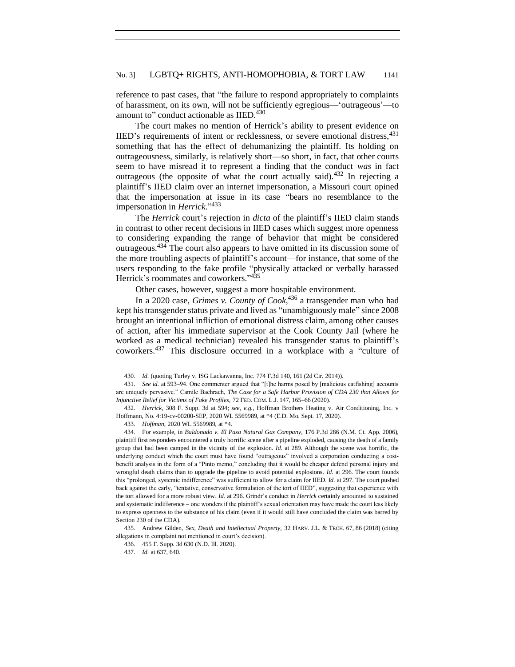reference to past cases, that "the failure to respond appropriately to complaints of harassment, on its own, will not be sufficiently egregious—'outrageous'—to amount to" conduct actionable as IIED.<sup>430</sup>

The court makes no mention of Herrick's ability to present evidence on IIED's requirements of intent or recklessness, or severe emotional distress, <sup>431</sup> something that has the effect of dehumanizing the plaintiff. Its holding on outrageousness, similarly, is relatively short—so short, in fact, that other courts seem to have misread it to represent a finding that the conduct *was* in fact outrageous (the opposite of what the court actually said).<sup>432</sup> In rejecting a plaintiff's IIED claim over an internet impersonation, a Missouri court opined that the impersonation at issue in its case "bears no resemblance to the impersonation in *Herrick*." 433

The *Herrick* court's rejection in *dicta* of the plaintiff's IIED claim stands in contrast to other recent decisions in IIED cases which suggest more openness to considering expanding the range of behavior that might be considered outrageous.<sup>434</sup> The court also appears to have omitted in its discussion some of the more troubling aspects of plaintiff's account—for instance, that some of the users responding to the fake profile "physically attacked or verbally harassed Herrick's roommates and coworkers."<sup>435</sup>

Other cases, however, suggest a more hospitable environment.

In a 2020 case, *Grimes v. County of Cook*, <sup>436</sup> a transgender man who had kept his transgender status private and lived as "unambiguously male" since 2008 brought an intentional infliction of emotional distress claim, among other causes of action, after his immediate supervisor at the Cook County Jail (where he worked as a medical technician) revealed his transgender status to plaintiff's coworkers.<sup>437</sup> This disclosure occurred in a workplace with a "culture of

<sup>430</sup>*. Id.* (quoting Turley v. ISG Lackawanna, Inc. 774 F.3d 140, 161 (2d Cir. 2014)).

<sup>431.</sup> *See id.* at 593–94. One commenter argued that "[t]he harms posed by [malicious catfishing] accounts are uniquely pervasive." Camile Bachrach, *The Case for a Safe Harbor Provision of CDA 230 that Allows for Injunctive Relief for Victims of Fake Profiles,* 72 FED. COM. L.J. 147, 165–66 (2020).

<sup>432.</sup> *Herrick*, 308 F. Supp. 3d at 594; *see, e.g.*, Hoffman Brothers Heating v. Air Conditioning, Inc. v Hoffmann, No. 4:19-cv-00200-SEP, 2020 WL 5569989, at \*4 (E.D. Mo. Sept. 17, 2020).

<sup>433.</sup> *Hoffman*, 2020 WL 5569989, at \*4.

<sup>434.</sup> For example, in *Baldonado v. El Paso Natural Gas Company*, 176 P.3d 286 (N.M. Ct. App. 2006), plaintiff first responders encountered a truly horrific scene after a pipeline exploded, causing the death of a family group that had been camped in the vicinity of the explosion. *Id.* at 289. Although the scene was horrific, the underlying conduct which the court must have found "outrageous" involved a corporation conducting a costbenefit analysis in the form of a "Pinto memo," concluding that it would be cheaper defend personal injury and wrongful death claims than to upgrade the pipeline to avoid potential explosions. *Id.* at 296. The court founds this "prolonged, systemic indifference" was sufficient to allow for a claim for IIED. *Id.* at 297. The court pushed back against the early, "tentative, conservative formulation of the tort of IIED", suggesting that experience with the tort allowed for a more robust view. *Id.* at 296. Grindr's conduct in *Herrick* certainly amounted to sustained and systematic indifference – one wonders if the plaintiff's sexual orientation may have made the court less likely to express openness to the substance of his claim (even if it would still have concluded the claim was barred by Section 230 of the CDA).

<sup>435.</sup> Andrew Gilden, *Sex, Death and Intellectual Property*, 32 HARV. J.L. & TECH. 67, 86 (2018) (citing allegations in complaint not mentioned in court's decision).

<sup>436.</sup> 455 F. Supp. 3d 630 (N.D. Ill. 2020).

<sup>437</sup>*. Id.* at 637, 640.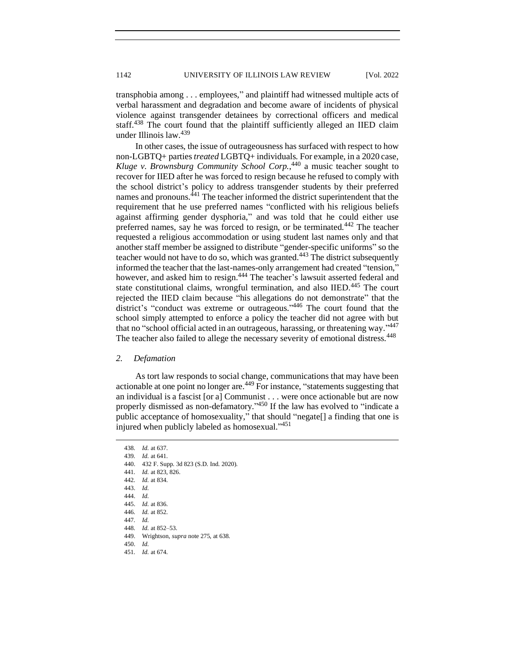transphobia among . . . employees," and plaintiff had witnessed multiple acts of verbal harassment and degradation and become aware of incidents of physical violence against transgender detainees by correctional officers and medical staff.<sup>438</sup> The court found that the plaintiff sufficiently alleged an IIED claim under Illinois law.<sup>439</sup>

In other cases, the issue of outrageousness has surfaced with respect to how non-LGBTQ+ parties *treated* LGBTQ+ individuals. For example, in a 2020 case, *Kluge v. Brownsburg Community School Corp.*, <sup>440</sup> a music teacher sought to recover for IIED after he was forced to resign because he refused to comply with the school district's policy to address transgender students by their preferred names and pronouns.<sup>441</sup> The teacher informed the district superintendent that the requirement that he use preferred names "conflicted with his religious beliefs against affirming gender dysphoria," and was told that he could either use preferred names, say he was forced to resign, or be terminated.<sup>442</sup> The teacher requested a religious accommodation or using student last names only and that another staff member be assigned to distribute "gender-specific uniforms" so the teacher would not have to do so, which was granted.<sup>443</sup> The district subsequently informed the teacher that the last-names-only arrangement had created "tension," however, and asked him to resign.<sup>444</sup> The teacher's lawsuit asserted federal and state constitutional claims, wrongful termination, and also IIED.<sup>445</sup> The court rejected the IIED claim because "his allegations do not demonstrate" that the district's "conduct was extreme or outrageous." <sup>446</sup> The court found that the school simply attempted to enforce a policy the teacher did not agree with but that no "school official acted in an outrageous, harassing, or threatening way." 447 The teacher also failed to allege the necessary severity of emotional distress.<sup>448</sup>

#### <span id="page-39-0"></span>*2. Defamation*

As tort law responds to social change, communications that may have been actionable at one point no longer are.<sup>449</sup> For instance, "statements suggesting that an individual is a fascist [or a] Communist . . . were once actionable but are now properly dismissed as non-defamatory."<sup>450</sup> If the law has evolved to "indicate a public acceptance of homosexuality," that should "negate[] a finding that one is injured when publicly labeled as homosexual."<sup>451</sup>

<sup>438</sup>*. Id.* at 637.

<sup>439</sup>*. Id.* at 641.

<sup>440.</sup> 432 F. Supp. 3d 823 (S.D. Ind. 2020).

<sup>441</sup>*. Id.* at 823, 826.

<sup>442</sup>*. Id.* at 834.

<sup>443.</sup> *Id.* 

<sup>444.</sup> *Id.*

<sup>445.</sup> *Id.* at 836.

<sup>446</sup>*. Id.* at 852.

<sup>447</sup>*. Id.*

<sup>448</sup>*. Id.* at 852–53.

<sup>449.</sup> Wrightson, *supra* note 275, at 638.

<sup>450.</sup> *Id.*

<sup>451</sup>*. Id.* at 674.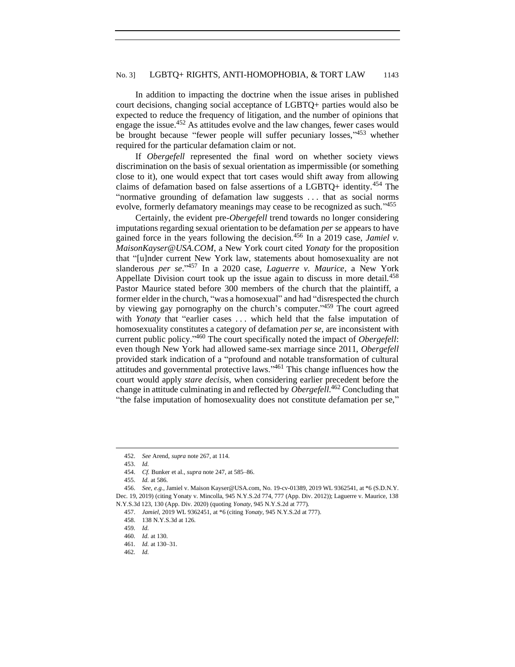In addition to impacting the doctrine when the issue arises in published court decisions, changing social acceptance of LGBTQ+ parties would also be expected to reduce the frequency of litigation, and the number of opinions that engage the issue.<sup>452</sup> As attitudes evolve and the law changes, fewer cases would be brought because "fewer people will suffer pecuniary losses,"453 whether required for the particular defamation claim or not.

If *Obergefell* represented the final word on whether society views discrimination on the basis of sexual orientation as impermissible (or something close to it), one would expect that tort cases would shift away from allowing claims of defamation based on false assertions of a LGBTQ+ identity.<sup>454</sup> The "normative grounding of defamation law suggests . . . that as social norms evolve, formerly defamatory meanings may cease to be recognized as such."455

Certainly, the evident pre-*Obergefell* trend towards no longer considering imputations regarding sexual orientation to be defamation *per se* appears to have gained force in the years following the decision.<sup>456</sup> In a 2019 case, *Jamiel v. MaisonKayser@USA.COM*, a New York court cited *Yonaty* for the proposition that "[u]nder current New York law, statements about homosexuality are not slanderous *per se*." <sup>457</sup> In a 2020 case, *Laguerre v. Maurice*, a New York Appellate Division court took up the issue again to discuss in more detail.<sup>458</sup> Pastor Maurice stated before 300 members of the church that the plaintiff, a former elder in the church, "was a homosexual" and had "disrespected the church by viewing gay pornography on the church's computer."<sup>459</sup> The court agreed with *Yonaty* that "earlier cases . . . which held that the false imputation of homosexuality constitutes a category of defamation *per se*, are inconsistent with current public policy." <sup>460</sup> The court specifically noted the impact of *Obergefell*: even though New York had allowed same-sex marriage since 2011, *Obergefell*  provided stark indication of a "profound and notable transformation of cultural attitudes and governmental protective laws."<sup>461</sup> This change influences how the court would apply *stare decisis*, when considering earlier precedent before the change in attitude culminating in and reflected by *Obergefell*. <sup>462</sup> Concluding that "the false imputation of homosexuality does not constitute defamation per se,"

<sup>452.</sup> *See* Arend, *supra* note 267, at 114.

<sup>453.</sup> *Id.*

<sup>454.</sup> *Cf.* Bunker et al., *supra* note 247, at 585–86.

<sup>455.</sup> *Id.* at 586.

<sup>456.</sup> *See, e.g.*, Jamiel v. Maison Kayser@USA.com, No. 19-cv-01389, 2019 WL 9362541, at \*6 (S.D.N.Y. Dec. 19, 2019) (citing Yonaty v. Mincolla, 945 N.Y.S.2d 774, 777 (App. Div. 2012)); Laguerre v. Maurice, 138 N.Y.S.3d 123, 130 (App. Div. 2020) (quoting *Yonaty*, 945 N.Y.S.2d at 777).

<sup>457.</sup> *Jamiel*, 2019 WL 9362451, at \*6 (citing *Yonaty*, 945 N.Y.S.2d at 777).

<sup>458.</sup> 138 N.Y.S.3d at 126.

<sup>459</sup>*. Id.*

<sup>460</sup>*. Id.* at 130.

<sup>461</sup>*. Id.* at 130–31.

<sup>462</sup>*. Id.*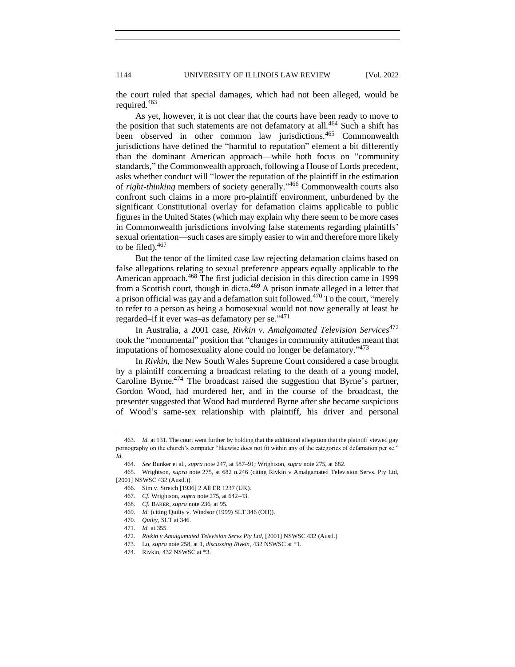the court ruled that special damages, which had not been alleged, would be required.<sup>463</sup>

As yet, however, it is not clear that the courts have been ready to move to the position that such statements are not defamatory at all.<sup>464</sup> Such a shift has been observed in other common law jurisdictions.<sup>465</sup> Commonwealth jurisdictions have defined the "harmful to reputation" element a bit differently than the dominant American approach—while both focus on "community standards," the Commonwealth approach, following a House of Lords precedent, asks whether conduct will "lower the reputation of the plaintiff in the estimation of *right-thinking* members of society generally." <sup>466</sup> Commonwealth courts also confront such claims in a more pro-plaintiff environment, unburdened by the significant Constitutional overlay for defamation claims applicable to public figures in the United States (which may explain why there seem to be more cases in Commonwealth jurisdictions involving false statements regarding plaintiffs' sexual orientation—such cases are simply easier to win and therefore more likely to be filed). $467$ 

But the tenor of the limited case law rejecting defamation claims based on false allegations relating to sexual preference appears equally applicable to the American approach.<sup>468</sup> The first judicial decision in this direction came in 1999 from a Scottish court, though in dicta.<sup>469</sup> A prison inmate alleged in a letter that a prison official was gay and a defamation suit followed.<sup>470</sup> To the court, "merely to refer to a person as being a homosexual would not now generally at least be regarded–if it ever was–as defamatory per se."<sup>471</sup>

In Australia, a 2001 case, *Rivkin v. Amalgamated Television Services*<sup>472</sup> took the "monumental" position that "changes in community attitudes meant that imputations of homosexuality alone could no longer be defamatory." <sup>473</sup>

In *Rivkin*, the New South Wales Supreme Court considered a case brought by a plaintiff concerning a broadcast relating to the death of a young model, Caroline Byrne.<sup>474</sup> The broadcast raised the suggestion that Byrne's partner, Gordon Wood, had murdered her, and in the course of the broadcast, the presenter suggested that Wood had murdered Byrne after she became suspicious of Wood's same-sex relationship with plaintiff, his driver and personal

<sup>463</sup>*. Id.* at 131. The court went further by holding that the additional allegation that the plaintiff viewed gay pornography on the church's computer "likewise does not fit within any of the categories of defamation per se." *Id.*

<sup>464.</sup> *See* Bunker et al., *supra* note 247, at 587–91; Wrightson, *supra* note 275, at 682.

<sup>465.</sup> Wrightson, *supra* note 275, at 682 n.246 (citing Rivkin v Amalgamated Television Servs. Pty Ltd, [2001] NSWSC 432 (Austl.)).

<sup>466.</sup> Sim v. Stretch [1936] 2 All ER 1237 (UK).

<sup>467.</sup> *Cf.* Wrightson, *supra* note 275, at 642–43.

<sup>468.</sup> *Cf.* BAKER, *supra* note 236, at 95.

<sup>469.</sup> *Id.* (citing Quilty v. Windsor (1999) SLT 346 (OH)).

<sup>470.</sup> *Quilty*, SLT at 346.

<sup>471.</sup> *Id.* at 355.

<sup>472.</sup> *Rivkin v Amalgamated Television Servs Pty Ltd*, [2001] NSWSC 432 (Austl.)

<sup>473.</sup> Lo, *supra* note 258, at 1, *discussing Rivkin*, 432 NSWSC at \*1.

<sup>474</sup>*.* Rivkin, 432 NSWSC at \*3.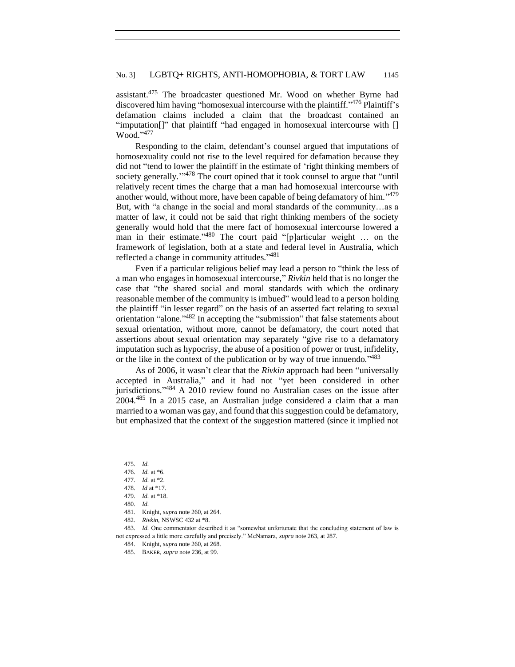assistant.<sup>475</sup> The broadcaster questioned Mr. Wood on whether Byrne had discovered him having "homosexual intercourse with the plaintiff." Plaintiff's defamation claims included a claim that the broadcast contained an "imputation[]" that plaintiff "had engaged in homosexual intercourse with [] Wood."<sup>477</sup>

Responding to the claim, defendant's counsel argued that imputations of homosexuality could not rise to the level required for defamation because they did not "tend to lower the plaintiff in the estimate of 'right thinking members of society generally."<sup>478</sup> The court opined that it took counsel to argue that "until relatively recent times the charge that a man had homosexual intercourse with another would, without more, have been capable of being defamatory of him."<sup>479</sup> But, with "a change in the social and moral standards of the community…as a matter of law, it could not be said that right thinking members of the society generally would hold that the mere fact of homosexual intercourse lowered a man in their estimate."<sup>480</sup> The court paid "[p]articular weight ... on the framework of legislation, both at a state and federal level in Australia, which reflected a change in community attitudes."<sup>481</sup>

Even if a particular religious belief may lead a person to "think the less of a man who engages in homosexual intercourse," *Rivkin* held that is no longer the case that "the shared social and moral standards with which the ordinary reasonable member of the community is imbued" would lead to a person holding the plaintiff "in lesser regard" on the basis of an asserted fact relating to sexual orientation "alone."<sup>482</sup> In accepting the "submission" that false statements about sexual orientation, without more, cannot be defamatory, the court noted that assertions about sexual orientation may separately "give rise to a defamatory imputation such as hypocrisy, the abuse of a position of power or trust, infidelity, or the like in the context of the publication or by way of true innuendo."<sup>483</sup>

As of 2006, it wasn't clear that the *Rivkin* approach had been "universally accepted in Australia," and it had not "yet been considered in other jurisdictions."<sup>484</sup> A 2010 review found no Australian cases on the issue after 2004.<sup>485</sup> In a 2015 case, an Australian judge considered a claim that a man married to a woman was gay, and found that this suggestion could be defamatory, but emphasized that the context of the suggestion mattered (since it implied not

<sup>475.</sup> *Id.*

<sup>476</sup>*. Id.* at \*6.

<sup>477</sup>*. Id.* at \*2.

<sup>478</sup>*. Id* at \*17.

<sup>479</sup>*. Id.* at \*18.

<sup>480</sup>*. Id.*

<sup>481.</sup> Knight, *supra* note 260, at 264.

<sup>482</sup>*. Rivkin*, NSWSC 432 at \*8.

<sup>483</sup>*. Id.* One commentator described it as "somewhat unfortunate that the concluding statement of law is not expressed a little more carefully and precisely." McNamara, *supra* note 263, at 287.

<sup>484.</sup> Knight, *supra* note 260, at 268.

<sup>485.</sup> BAKER, *supra* note 236, at 99.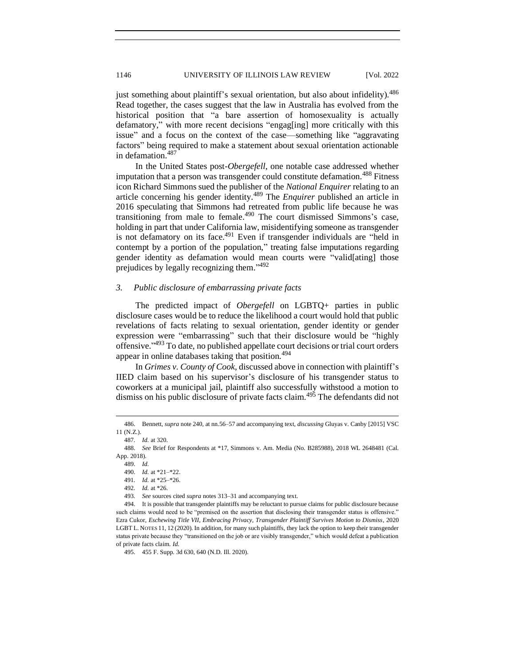just something about plaintiff's sexual orientation, but also about infidelity).<sup>486</sup> Read together, the cases suggest that the law in Australia has evolved from the historical position that "a bare assertion of homosexuality is actually defamatory," with more recent decisions "engag[ing] more critically with this issue" and a focus on the context of the case—something like "aggravating factors" being required to make a statement about sexual orientation actionable in defamation.<sup>487</sup>

In the United States post-*Obergefell*, one notable case addressed whether imputation that a person was transgender could constitute defamation.<sup>488</sup> Fitness icon Richard Simmons sued the publisher of the *National Enquirer* relating to an article concerning his gender identity.<sup>489</sup> The *Enquirer* published an article in 2016 speculating that Simmons had retreated from public life because he was transitioning from male to female.<sup>490</sup> The court dismissed Simmons's case, holding in part that under California law, misidentifying someone as transgender is not defamatory on its face.<sup>491</sup> Even if transgender individuals are "held in contempt by a portion of the population," treating false imputations regarding gender identity as defamation would mean courts were "valid[ating] those prejudices by legally recognizing them."<sup>492</sup>

# <span id="page-43-0"></span>*3. Public disclosure of embarrassing private facts*

The predicted impact of *Obergefell* on LGBTQ+ parties in public disclosure cases would be to reduce the likelihood a court would hold that public revelations of facts relating to sexual orientation, gender identity or gender expression were "embarrassing" such that their disclosure would be "highly offensive." <sup>493</sup> To date, no published appellate court decisions or trial court orders appear in online databases taking that position.<sup>494</sup>

In *Grimes v. County of Cook*, discussed above in connection with plaintiff's IIED claim based on his supervisor's disclosure of his transgender status to coworkers at a municipal jail, plaintiff also successfully withstood a motion to dismiss on his public disclosure of private facts claim.<sup>495</sup> The defendants did not

<sup>486.</sup> Bennett, *supra* note 240, at nn.56–57 and accompanying text, *discussing* Gluyas v. Canby [2015] VSC 11 (N.Z.).

<sup>487</sup>*. Id.* at 320.

<sup>488.</sup> *See* Brief for Respondents at \*17, Simmons v. Am. Media (No. B285988), 2018 WL 2648481 (Cal. App. 2018).

<sup>489.</sup> *Id.*

<sup>490.</sup> *Id.* at \*21–\*22.

<sup>491</sup>*. Id.* at \*25–\*26.

<sup>492</sup>*. Id.* at \*26.

<sup>493</sup>*. See* sources cited *supra* notes 313–31 and accompanying text.

<sup>494.</sup> It is possible that transgender plaintiffs may be reluctant to pursue claims for public disclosure because such claims would need to be "premised on the assertion that disclosing their transgender status is offensive." Ezra Cukor, *Eschewing Title VII, Embracing Privacy, Transgender Plaintiff Survives Motion to Dismiss*, 2020 LGBT L. NOTES 11, 12 (2020). In addition, for many such plaintiffs, they lack the option to keep their transgender status private because they "transitioned on the job or are visibly transgender," which would defeat a publication of private facts claim. *Id.*

<sup>495.</sup> 455 F. Supp. 3d 630, 640 (N.D. Ill. 2020).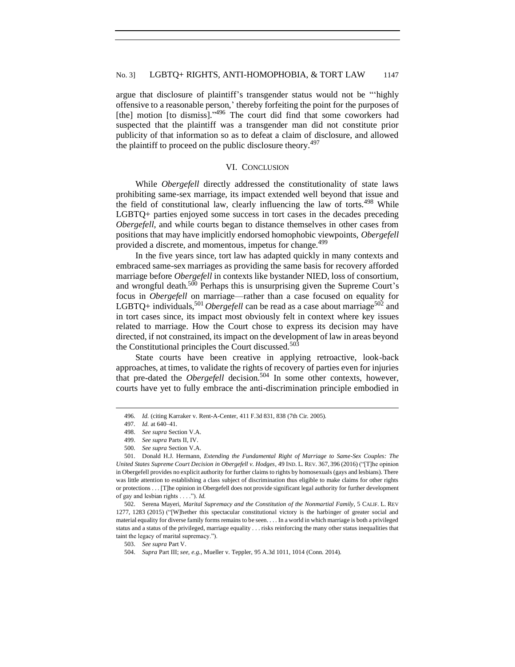argue that disclosure of plaintiff's transgender status would not be "'highly offensive to a reasonable person,' thereby forfeiting the point for the purposes of [the] motion [to dismiss]."<sup>496</sup> The court did find that some coworkers had suspected that the plaintiff was a transgender man did not constitute prior publicity of that information so as to defeat a claim of disclosure, and allowed the plaintiff to proceed on the public disclosure theory.<sup>497</sup>

## VI. CONCLUSION

<span id="page-44-0"></span>While *Obergefell* directly addressed the constitutionality of state laws prohibiting same-sex marriage, its impact extended well beyond that issue and the field of constitutional law, clearly influencing the law of torts.<sup>498</sup> While LGBTQ+ parties enjoyed some success in tort cases in the decades preceding *Obergefell*, and while courts began to distance themselves in other cases from positions that may have implicitly endorsed homophobic viewpoints, *Obergefell*  provided a discrete, and momentous, impetus for change.<sup>499</sup>

In the five years since, tort law has adapted quickly in many contexts and embraced same-sex marriages as providing the same basis for recovery afforded marriage before *Obergefell* in contexts like bystander NIED, loss of consortium, and wrongful death.<sup>500</sup> Perhaps this is unsurprising given the Supreme Court's focus in *Obergefell* on marriage—rather than a case focused on equality for LGBTQ+ individuals,<sup>501</sup> *Obergefell* can be read as a case about marriage<sup>502</sup> and in tort cases since, its impact most obviously felt in context where key issues related to marriage. How the Court chose to express its decision may have directed, if not constrained, its impact on the development of law in areas beyond the Constitutional principles the Court discussed. $50\overline{3}$ 

State courts have been creative in applying retroactive, look-back approaches, at times, to validate the rights of recovery of parties even for injuries that pre-dated the *Obergefell* decision.<sup>504</sup> In some other contexts, however, courts have yet to fully embrace the anti-discrimination principle embodied in

<sup>496</sup>*. Id.* (citing Karraker v. Rent-A-Center, 411 F.3d 831, 838 (7th Cir. 2005).

<sup>497</sup>*. Id.* at 640–41.

<sup>498.</sup> *See supra* Section V.A.

<sup>499.</sup> *See supra* Parts II, IV.

<sup>500</sup>*. See supra* Section V.A.

<sup>501.</sup> Donald H.J. Hermann, *Extending the Fundamental Right of Marriage to Same-Sex Couples: The United States Supreme Court Decision in Obergefell v. Hodges*, 49 IND. L. REV. 367, 396 (2016) ("[T]he opinion in Obergefell provides no explicit authority for further claims to rights by homosexuals (gays and lesbians). There was little attention to establishing a class subject of discrimination thus eligible to make claims for other rights or protections . . . [T]he opinion in Obergefell does not provide significant legal authority for further development of gay and lesbian rights . . . ."). *Id.*

<sup>502.</sup> Serena Mayeri, *Marital Supremacy and the Constitution of the Nonmartial Family*, 5 CALIF. L. REV 1277, 1283 (2015) ("[W]hether this spectacular constitutional victory is the harbinger of greater social and material equality for diverse family forms remains to be seen. . . . In a world in which marriage is both a privileged status and a status of the privileged, marriage equality . . . risks reinforcing the many other status inequalities that taint the legacy of marital supremacy.").

<sup>503.</sup> *See supra* Part V.

<sup>504.</sup> *Supra* Part III; *see, e.g.*, Mueller v. Teppler, 95 A.3d 1011, 1014 (Conn. 2014).